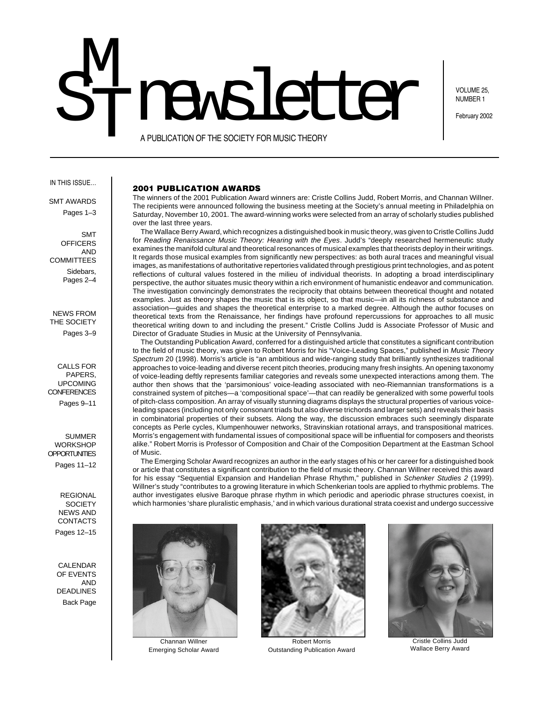# M<br>T **STI RASIE CONSTRUGATION OF THE SOCIETY FOR MUSIC THEORY**

VOLUME 25, NUMBER 1

A PUBLICATION OF THE SOCIETY FOR MUSIC THEORY

#### IN THIS ISSUE…

SMT AWARDS

Pages 1–3

SMT **OFFICERS** AND **COMMITTEES** Sidebars, Pages 2–4

NEWS FROM THE SOCIETY Pages 3–9

CALLS FOR PAPERS, UPCOMING CONFERENCES Pages 9–11

SUMMER **WORKSHOP OPPORTUNITIES** 

Pages 11–12

REGIONAL **SOCIETY** NEWS AND **CONTACTS** Pages 12–15

CALENDAR OF EVENTS AND DEADLINES Back Page

## **2001 PUBLICATION AWARDS**

The winners of the 2001 Publication Award winners are: Cristle Collins Judd, Robert Morris, and Channan Willner. The recipients were announced following the business meeting at the Society's annual meeting in Philadelphia on Saturday, November 10, 2001. The award-winning works were selected from an array of scholarly studies published over the last three years.

The Wallace Berry Award, which recognizes a distinguished book in music theory, was given to Cristle Collins Judd for Reading Renaissance Music Theory: Hearing with the Eyes. Judd's "deeply researched hermeneutic study examines the manifold cultural and theoretical resonances of musical examples that theorists deploy in their writings. It regards those musical examples from significantly new perspectives: as both aural traces and meaningful visual images, as manifestations of authoritative repertories validated through prestigious print technologies, and as potent reflections of cultural values fostered in the milieu of individual theorists. In adopting a broad interdisciplinary perspective, the author situates music theory within a rich environment of humanistic endeavor and communication. The investigation convincingly demonstrates the reciprocity that obtains between theoretical thought and notated examples. Just as theory shapes the music that is its object, so that music—in all its richness of substance and association—guides and shapes the theoretical enterprise to a marked degree. Although the author focuses on theoretical texts from the Renaissance, her findings have profound repercussions for approaches to all music theoretical writing down to and including the present." Cristle Collins Judd is Associate Professor of Music and Director of Graduate Studies in Music at the University of Pennsylvania.

The Outstanding Publication Award, conferred for a distinguished article that constitutes a significant contribution to the field of music theory, was given to Robert Morris for his "Voice-Leading Spaces," published in Music Theory Spectrum 20 (1998). Morris's article is "an ambitious and wide-ranging study that brilliantly synthesizes traditional approaches to voice-leading and diverse recent pitch theories, producing many fresh insights. An opening taxonomy of voice-leading deftly represents familiar categories and reveals some unexpected interactions among them. The author then shows that the 'parsimonious' voice-leading associated with neo-Riemannian transformations is a constrained system of pitches—a 'compositional space'—that can readily be generalized with some powerful tools of pitch-class composition. An array of visually stunning diagrams displays the structural properties of various voiceleading spaces (including not only consonant triads but also diverse trichords and larger sets) and reveals their basis in combinatorial properties of their subsets. Along the way, the discussion embraces such seemingly disparate concepts as Perle cycles, Klumpenhouwer networks, Stravinskian rotational arrays, and transpositional matrices. Morris's engagement with fundamental issues of compositional space will be influential for composers and theorists alike." Robert Morris is Professor of Composition and Chair of the Composition Department at the Eastman School of Music.

The Emerging Scholar Award recognizes an author in the early stages of his or her career for a distinguished book or article that constitutes a significant contribution to the field of music theory. Channan Willner received this award for his essay "Sequential Expansion and Handelian Phrase Rhythm," published in Schenker Studies 2 (1999). Willner's study "contributes to a growing literature in which Schenkerian tools are applied to rhythmic problems. The author investigates elusive Baroque phrase rhythm in which periodic and aperiodic phrase structures coexist, in which harmonies 'share pluralistic emphasis,' and in which various durational strata coexist and undergo successive



Channan Willner Emerging Scholar Award



Robert Morris Outstanding Publication Award



Cristle Collins Judd Wallace Berry Award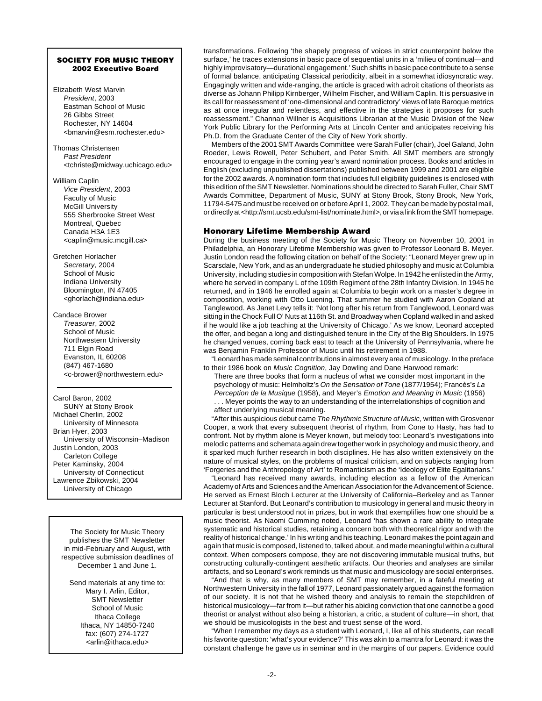## **SOCIETY FOR MUSIC THEORY 2002 Executive Board**

- Elizabeth West Marvin President, 2003 Eastman School of Music 26 Gibbs Street Rochester, NY 14604 <bmarvin@esm.rochester.edu>
- Thomas Christensen Past President <tchriste@midway.uchicago.edu>
- William Caplin Vice President, 2003 Faculty of Music McGill University 555 Sherbrooke Street West Montreal, Quebec Canada H3A 1E3 <caplin@music.mcgill.ca>
- Gretchen Horlacher Secretary, 2004 School of Music Indiana University Bloomington, IN 47405 <ghorlach@indiana.edu>
- Candace Brower Treasurer, 2002 School of Music Northwestern University 711 Elgin Road Evanston, IL 60208 (847) 467-1680 <c-brower@northwestern.edu>

Carol Baron, 2002 SUNY at Stony Brook Michael Cherlin, 2002 University of Minnesota Brian Hyer, 2003 University of Wisconsin–Madison Justin London, 2003 Carleton College Peter Kaminsky, 2004 University of Connecticut Lawrence Zbikowski, 2004 University of Chicago

The Society for Music Theory publishes the SMT Newsletter in mid-February and August, with respective submission deadlines of December 1 and June 1.

Send materials at any time to: Mary I. Arlin, Editor, SMT Newsletter School of Music Ithaca College Ithaca, NY 14850-7240 fax: (607) 274-1727 <arlin@ithaca.edu>

transformations. Following 'the shapely progress of voices in strict counterpoint below the surface,' he traces extensions in basic pace of sequential units in a 'milieu of continual—and highly improvisatory—durational engagement.' Such shifts in basic pace contribute to a sense of formal balance, anticipating Classical periodicity, albeit in a somewhat idiosyncratic way. Engagingly written and wide-ranging, the article is graced with adroit citations of theorists as diverse as Johann Philipp Kirnberger, Wilhelm Fischer, and William Caplin. It is persuasive in its call for reassessment of 'one-dimensional and contradictory' views of late Baroque metrics as at once irregular and relentless, and effective in the strategies it proposes for such reassessment." Channan Willner is Acquisitions Librarian at the Music Division of the New York Public Library for the Performing Arts at Lincoln Center and anticipates receiving his Ph.D. from the Graduate Center of the City of New York shortly.

Members of the 2001 SMT Awards Committee were Sarah Fuller (chair), Joel Galand, John Roeder, Lewis Rowell, Peter Schubert, and Peter Smith. All SMT members are strongly encouraged to engage in the coming year's award nomination process. Books and articles in English (excluding unpublished dissertations) published between 1999 and 2001 are eligible for the 2002 awards. A nomination form that includes full eligibility guidelines is enclosed with this edition of the SMT Newsletter. Nominations should be directed to Sarah Fuller, Chair SMT Awards Committee, Department of Music, SUNY at Stony Brook, Stony Brook, New York, 11794-5475 and must be received on or before April 1, 2002. They can be made by postal mail, or directly at <http://smt.ucsb.edu/smt-list/nominate.html>, or via a link from the SMT homepage.

# **Honorary Lifetime Membership Award**

During the business meeting of the Society for Music Theory on November 10, 2001 in Philadelphia, an Honorary Lifetime Membership was given to Professor Leonard B. Meyer. Justin London read the following citation on behalf of the Society: "Leonard Meyer grew up in Scarsdale, New York, and as an undergraduate he studied philosophy and music at Columbia University, including studies in composition with Stefan Wolpe. In 1942 he enlisted in the Army, where he served in company L of the 109th Regiment of the 28th Infantry Division. In 1945 he returned, and in 1946 he enrolled again at Columbia to begin work on a master's degree in composition, working with Otto Luening. That summer he studied with Aaron Copland at Tanglewood. As Janet Levy tells it: 'Not long after his return from Tanglewood, Leonard was sitting in the Chock Full O' Nuts at 116th St. and Broadway when Copland walked in and asked if he would like a job teaching at the University of Chicago.' As we know, Leonard accepted the offer, and began a long and distinguished tenure in the City of the Big Shoulders. In 1975 he changed venues, coming back east to teach at the University of Pennsylvania, where he was Benjamin Franklin Professor of Music until his retirement in 1988.

"Leonard has made seminal contributions in almost every area of musicology. In the preface to their 1986 book on Music Cognition, Jay Dowling and Dane Harwood remark:

There are three books that form a nucleus of what we consider most important in the psychology of music: Helmholtz's On the Sensation of Tone (1877/1954); Francès's La Perception de la Musique (1958), and Meyer's Emotion and Meaning in Music (1956)

. . . Meyer points the way to an understanding of the interrelationships of cognition and affect underlying musical meaning.

"After this auspicious debut came The Rhythmic Structure of Music, written with Grosvenor Cooper, a work that every subsequent theorist of rhythm, from Cone to Hasty, has had to confront. Not by rhythm alone is Meyer known, but melody too: Leonard's investigations into melodic patterns and schemata again drew together work in psychology and music theory, and it sparked much further research in both disciplines. He has also written extensively on the nature of musical styles, on the problems of musical criticism, and on subjects ranging from 'Forgeries and the Anthropology of Art' to Romanticism as the 'Ideology of Elite Egalitarians.'

"Leonard has received many awards, including election as a fellow of the American Academy of Arts and Sciences and the American Association for the Advancement of Science. He served as Ernest Bloch Lecturer at the University of California–Berkeley and as Tanner Lecturer at Stanford. But Leonard's contribution to musicology in general and music theory in particular is best understood not in prizes, but in work that exemplifies how one should be a music theorist. As Naomi Cumming noted, Leonard 'has shown a rare ability to integrate systematic and historical studies, retaining a concern both with theoretical rigor and with the reality of historical change.' In his writing and his teaching, Leonard makes the point again and again that music is composed, listened to, talked about, and made meaningful within a cultural context. When composers compose, they are not discovering immutable musical truths, but constructing culturally-contingent aesthetic artifacts. Our theories and analyses are similar artifacts, and so Leonard's work reminds us that music and musicology are social enterprises.

"And that is why, as many members of SMT may remember, in a fateful meeting at Northwestern University in the fall of 1977, Leonard passionately argued against the formation of our society. It is not that he wished theory and analysis to remain the stepchildren of historical musicology—far from it—but rather his abiding conviction that one cannot be a good theorist or analyst without also being a historian, a critic, a student of culture—in short, that we should be musicologists in the best and truest sense of the word.

"When I remember my days as a student with Leonard, I, like all of his students, can recall his favorite question: 'what's your evidence?' This was akin to a mantra for Leonard: it was the constant challenge he gave us in seminar and in the margins of our papers. Evidence could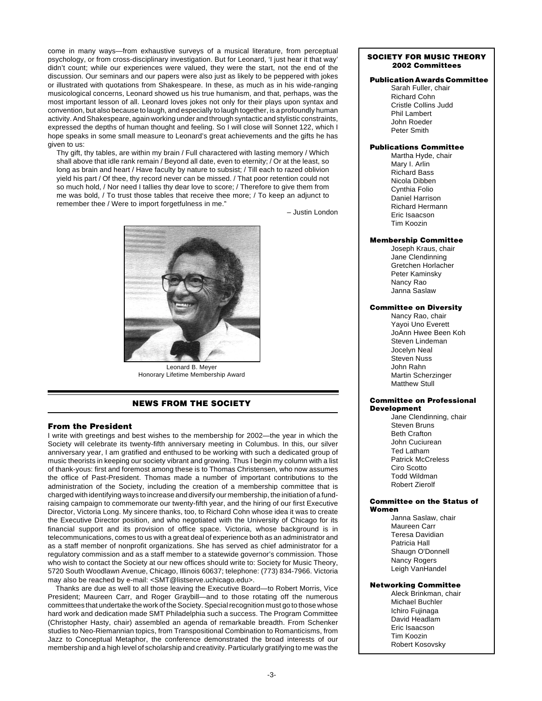come in many ways—from exhaustive surveys of a musical literature, from perceptual psychology, or from cross-disciplinary investigation. But for Leonard, 'I just hear it that way' didn't count; while our experiences were valued, they were the start, not the end of the discussion. Our seminars and our papers were also just as likely to be peppered with jokes or illustrated with quotations from Shakespeare. In these, as much as in his wide-ranging musicological concerns, Leonard showed us his true humanism, and that, perhaps, was the most important lesson of all. Leonard loves jokes not only for their plays upon syntax and convention, but also because to laugh, and especially to laugh together, is a profoundly human activity. And Shakespeare, again working under and through syntactic and stylistic constraints, expressed the depths of human thought and feeling. So I will close will Sonnet 122, which I hope speaks in some small measure to Leonard's great achievements and the gifts he has given to us:

Thy gift, thy tables, are within my brain / Full charactered with lasting memory / Which shall above that idle rank remain / Beyond all date, even to eternity; / Or at the least, so long as brain and heart / Have faculty by nature to subsist; / Till each to razed oblivion yield his part / Of thee, thy record never can be missed. / That poor retention could not so much hold, / Nor need I tallies thy dear love to score; / Therefore to give them from me was bold, / To trust those tables that receive thee more; / To keep an adjunct to remember thee / Were to import forgetfulness in me."

– Justin London



Honorary Lifetime Membership Award

# **NEWS FROM THE SOCIETY**

## **From the President**

I write with greetings and best wishes to the membership for 2002—the year in which the Society will celebrate its twenty-fifth anniversary meeting in Columbus. In this, our silver anniversary year, I am gratified and enthused to be working with such a dedicated group of music theorists in keeping our society vibrant and growing. Thus I begin my column with a list of thank-yous: first and foremost among these is to Thomas Christensen, who now assumes the office of Past-President. Thomas made a number of important contributions to the administration of the Society, including the creation of a membership committee that is charged with identifying ways to increase and diversify our membership, the initiation of a fundraising campaign to commemorate our twenty-fifth year, and the hiring of our first Executive Director, Victoria Long. My sincere thanks, too, to Richard Cohn whose idea it was to create the Executive Director position, and who negotiated with the University of Chicago for its financial support and its provision of office space. Victoria, whose background is in telecommunications, comes to us with a great deal of experience both as an administrator and as a staff member of nonprofit organizations. She has served as chief administrator for a regulatory commission and as a staff member to a statewide governor's commission. Those who wish to contact the Society at our new offices should write to: Society for Music Theory, 5720 South Woodlawn Avenue, Chicago, Illinois 60637; telephone: (773) 834-7966. Victoria may also be reached by e-mail: <SMT@listserve.uchicago.edu>.

Thanks are due as well to all those leaving the Executive Board—to Robert Morris, Vice President; Maureen Carr, and Roger Graybill—and to those rotating off the numerous committees that undertake the work of the Society. Special recognition must go to those whose hard work and dedication made SMT Philadelphia such a success. The Program Committee (Christopher Hasty, chair) assembled an agenda of remarkable breadth. From Schenker studies to Neo-Riemannian topics, from Transpositional Combination to Romanticisms, from Jazz to Conceptual Metaphor, the conference demonstrated the broad interests of our membership and a high level of scholarship and creativity. Particularly gratifying to me was the

#### **SOCIETY FOR MUSIC THEORY 2002 Committees**

## **Publication Awards Committee**

Sarah Fuller, chair Richard Cohn Cristle Collins Judd Phil Lambert John Roeder Peter Smith

## **Publications Committee**

Martha Hyde, chair Mary I. Arlin Richard Bass Nicola Dibben Cynthia Folio Daniel Harrison Richard Hermann Eric Isaacson Tim Koozin

## **Membership Committee**

Joseph Kraus, chair Jane Clendinning Gretchen Horlacher Peter Kaminsky Nancy Rao Janna Saslaw

#### **Committee on Diversity**

Nancy Rao, chair Yayoi Uno Everett JoAnn Hwee Been Koh Steven Lindeman Jocelyn Neal Steven Nuss John Rahn Martin Scherzinger Matthew Stull

#### **Committee on Professional Development**

Jane Clendinning, chair Steven Bruns Beth Crafton John Cuciurean Ted Latham Patrick McCreless Ciro Scotto Todd Wildman Robert Zierolf

#### **Committee on the Status of Women**

Janna Saslaw, chair Maureen Carr Teresa Davidian Patricia Hall Shaugn O'Donnell Nancy Rogers Leigh VanHandel

## **Networking Committee**

Aleck Brinkman, chair Michael Buchler Ichiro Fujinaga David Headlam Eric Isaacson Tim Koozin Robert Kosovsky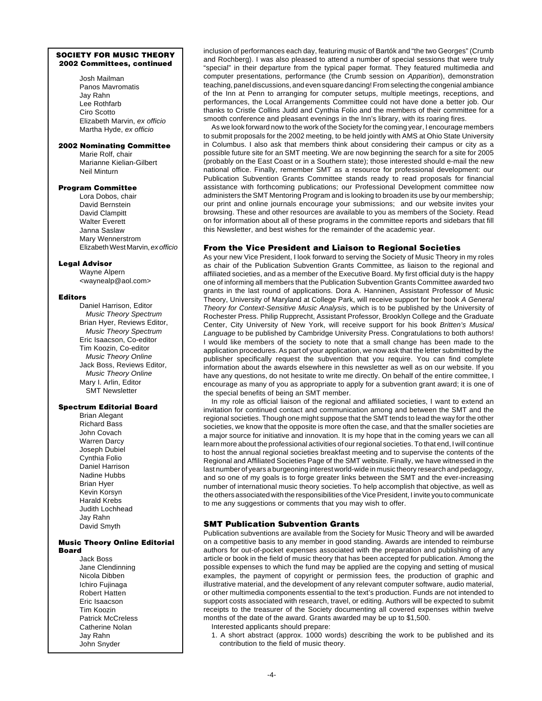## **SOCIETY FOR MUSIC THEORY 2002 Committees, continued**

Josh Mailman Panos Mavromatis Jay Rahn Lee Rothfarb Ciro Scotto Elizabeth Marvin, ex officio Martha Hyde, ex officio

## **2002 Nominating Committee**

Marie Rolf, chair Marianne Kielian-Gilbert Neil Minturn

## **Program Committee**

Lora Dobos, chair David Bernstein David Clampitt Walter Everett Janna Saslaw Mary Wennerstrom Elizabeth West Marvin, ex officio

#### **Legal Advisor**

Wayne Alpern <waynealp@aol.com>

#### **Editors**

Daniel Harrison, Editor Music Theory Spectrum Brian Hyer, Reviews Editor, Music Theory Spectrum Eric Isaacson, Co-editor Tim Koozin, Co-editor Music Theory Online Jack Boss, Reviews Editor, Music Theory Online Mary I. Arlin, Editor SMT Newsletter

# **Spectrum Editorial Board**

Brian Alegant Richard Bass John Covach Warren Darcy Joseph Dubiel Cynthia Folio Daniel Harrison Nadine Hubbs Brian Hyer Kevin Korsyn Harald Krebs Judith Lochhead Jay Rahn David Smyth

#### **Music Theory Online Editorial Board**

Jack Boss Jane Clendinning Nicola Dibben Ichiro Fujinaga Robert Hatten Eric Isaacson Tim Koozin Patrick McCreless Catherine Nolan Jay Rahn John Snyder

inclusion of performances each day, featuring music of Bartók and "the two Georges" (Crumb and Rochberg). I was also pleased to attend a number of special sessions that were truly "special" in their departure from the typical paper format. They featured multimedia and computer presentations, performance (the Crumb session on Apparition), demonstration teaching, panel discussions, and even square dancing! From selecting the congenial ambiance of the Inn at Penn to arranging for computer setups, multiple meetings, receptions, and performances, the Local Arrangements Committee could not have done a better job. Our thanks to Cristle Collins Judd and Cynthia Folio and the members of their committee for a smooth conference and pleasant evenings in the Inn's library, with its roaring fires.

As we look forward now to the work of the Society for the coming year, I encourage members to submit proposals for the 2002 meeting, to be held jointly with AMS at Ohio State University in Columbus. I also ask that members think about considering their campus or city as a possible future site for an SMT meeting. We are now beginning the search for a site for 2005 (probably on the East Coast or in a Southern state); those interested should e-mail the new national office. Finally, remember SMT as a resource for professional development: our Publication Subvention Grants Committee stands ready to read proposals for financial assistance with forthcoming publications; our Professional Development committee now administers the SMT Mentoring Program and is looking to broaden its use by our membership; our print and online journals encourage your submissions; and our website invites your browsing. These and other resources are available to you as members of the Society. Read on for information about all of these programs in the committee reports and sidebars that fill this Newsletter, and best wishes for the remainder of the academic year.

## **From the Vice President and Liaison to Regional Societies**

As your new Vice President, I look forward to serving the Society of Music Theory in my roles as chair of the Publication Subvention Grants Committee, as liaison to the regional and affiliated societies, and as a member of the Executive Board. My first official duty is the happy one of informing all members that the Publication Subvention Grants Committee awarded two grants in the last round of applications. Dora A. Hanninen, Assistant Professor of Music Theory, University of Maryland at College Park, will receive support for her book A General Theory for Context-Sensitive Music Analysis, which is to be published by the University of Rochester Press. Philip Rupprecht, Assistant Professor, Brooklyn College and the Graduate Center, City University of New York, will receive support for his book Britten's Musical Language to be published by Cambridge University Press. Congratulations to both authors! I would like members of the society to note that a small change has been made to the application procedures. As part of your application, we now ask that the letter submitted by the publisher specifically request the subvention that you require. You can find complete information about the awards elsewhere in this newsletter as well as on our website. If you have any questions, do not hesitate to write me directly. On behalf of the entire committee, I encourage as many of you as appropriate to apply for a subvention grant award; it is one of the special benefits of being an SMT member.

In my role as official liaison of the regional and affiliated societies, I want to extend an invitation for continued contact and communication among and between the SMT and the regional societies. Though one might suppose that the SMT tends to lead the way for the other societies, we know that the opposite is more often the case, and that the smaller societies are a major source for initiative and innovation. It is my hope that in the coming years we can all learn more about the professional activities of our regional societies. To that end, I will continue to host the annual regional societies breakfast meeting and to supervise the contents of the Regional and Affiliated Societies Page of the SMT website. Finally, we have witnessed in the last number of years a burgeoning interest world-wide in music theory research and pedagogy, and so one of my goals is to forge greater links between the SMT and the ever-increasing number of international music theory societies. To help accomplish that objective, as well as the others associated with the responsibilities of the Vice President, I invite you to communicate to me any suggestions or comments that you may wish to offer.

## **SMT Publication Subvention Grants**

Publication subventions are available from the Society for Music Theory and will be awarded on a competitive basis to any member in good standing. Awards are intended to reimburse authors for out-of-pocket expenses associated with the preparation and publishing of any article or book in the field of music theory that has been accepted for publication. Among the possible expenses to which the fund may be applied are the copying and setting of musical examples, the payment of copyright or permission fees, the production of graphic and illustrative material, and the development of any relevant computer software, audio material, or other multimedia components essential to the text's production. Funds are not intended to support costs associated with research, travel, or editing. Authors will be expected to submit receipts to the treasurer of the Society documenting all covered expenses within twelve months of the date of the award. Grants awarded may be up to \$1,500.

Interested applicants should prepare:

1. A short abstract (approx. 1000 words) describing the work to be published and its contribution to the field of music theory.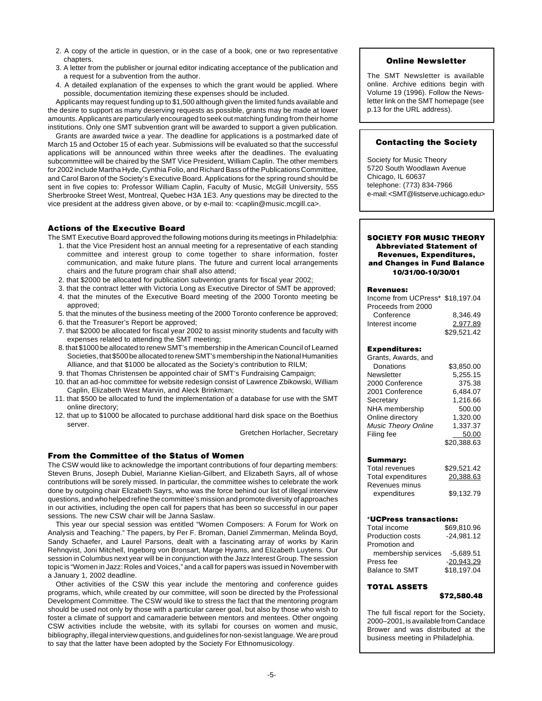- 2. A copy of the article in question, or in the case of a book, one or two representative **chapters**
- 3. A letter from the publisher or journal editor indicating acceptance of the publication and a request for a subvention from the author.
- 4. A detailed explanation of the expenses to which the grant would be applied. Where possible, documentation itemizing these expenses should be included.

Applicants may request funding up to \$1,500 although given the limited funds available and the desire to support as many deserving requests as possible, grants may be made at lower amounts. Applicants are particularly encouraged to seek out matching funding from their home institutions. Only one SMT subvention grant will be awarded to support a given publication.

Grants are awarded twice a year. The deadline for applications is a postmarked date of March 15 and October 15 of each year. Submissions will be evaluated so that the successful applications will be announced within three weeks after the deadlines. The evaluating subcommittee will be chaired by the SMT Vice President, William Caplin. The other members for 2002 include Martha Hyde, Cynthia Folio, and Richard Bass of the Publications Committee, and Carol Baron of the Society's Executive Board. Applications for the spring round should be sent in five copies to: Professor William Caplin, Faculty of Music, McGill University, 555 Sherbrooke Street West, Montreal, Quebec H3A 1E3. Any questions may be directed to the vice president at the address given above, or by e-mail to: <caplin@music.mcgill.ca>.

# **Actions of the Executive Board**

The SMT Executive Board approved the following motions during its meetings in Philadelphia:

- 1. that the Vice President host an annual meeting for a representative of each standing committee and interest group to come together to share information, foster communication, and make future plans. The future and current local arrangements chairs and the future program chair shall also attend;
- 2. that \$2000 be allocated for publication subvention grants for fiscal year 2002;
- 3. that the contract letter with Victoria Long as Executive Director of SMT be approved; 4. that the minutes of the Executive Board meeting of the 2000 Toronto meeting be approved;
- 5. that the minutes of the business meeting of the 2000 Toronto conference be approved;
- 6. that the Treasurer's Report be approved;
- 7. that \$2000 be allocated for fiscal year 2002 to assist minority students and faculty with expenses related to attending the SMT meeting;
- 8. that \$1000 be allocated to renew SMT's membership in the American Council of Learned Societies, that \$500 be allocated to renew SMT's membership in the National Humanities Alliance, and that \$1000 be allocated as the Society's contribution to RILM;
- 9. that Thomas Christensen be appointed chair of SMT's Fundraising Campaign;
- 10. that an ad-hoc committee for website redesign consist of Lawrence Zbikowski, William Caplin, Elizabeth West Marvin, and Aleck Brinkman;
- 11. that \$500 be allocated to fund the implementation of a database for use with the SMT online directory;
- 12. that up to \$1000 be allocated to purchase additional hard disk space on the Boethius server.

Gretchen Horlacher, Secretary

# **From the Committee of the Status of Women**

The CSW would like to acknowledge the important contributions of four departing members: Steven Bruns, Joseph Dubiel, Marianne Kielian-Gilbert, and Elizabeth Sayrs, all of whose contributions will be sorely missed. In particular, the committee wishes to celebrate the work done by outgoing chair Elizabeth Sayrs, who was the force behind our list of illegal interview questions, and who helped refine the committee's mission and promote diversity of approaches in our activities, including the open call for papers that has been so successful in our paper sessions. The new CSW chair will be Janna Saslaw.

This year our special session was entitled "Women Composers: A Forum for Work on Analysis and Teaching." The papers, by Per F. Broman, Daniel Zimmerman, Melinda Boyd, Sandy Schaefer, and Laurel Parsons, dealt with a fascinating array of works by Karin Rehnqvist, Joni Mitchell, Ingeborg von Bronsart, Marge Hyams, and Elizabeth Luytens. Our session in Columbus next year will be in conjunction with the Jazz Interest Group. The session topic is "Women in Jazz: Roles and Voices," and a call for papers was issued in November with a January 1, 2002 deadline.

Other activities of the CSW this year include the mentoring and conference guides programs, which, while created by our committee, will soon be directed by the Professional Development Committee. The CSW would like to stress the fact that the mentoring program should be used not only by those with a particular career goal, but also by those who wish to foster a climate of support and camaraderie between mentors and mentees. Other ongoing CSW activities include the website, with its syllabi for courses on women and music, bibliography, illegal interview questions, and guidelines for non-sexist language. We are proud to say that the latter have been adopted by the Society For Ethnomusicology.

# **Online Newsletter**

The SMT Newsletter is available online. Archive editions begin with Volume 19 (1996). Follow the Newsletter link on the SMT homepage (see p.13 for the URL address).

# **Contacting the Society**

Society for Music Theory 5720 South Woodlawn Avenue Chicago, IL 60637 telephone: (773) 834-7966 e-mail: <SMT@listserve.uchicago.edu>

## **SOCIETY FOR MUSIC THEORY Abbreviated Statement of Revenues, Expenditures, and Changes in Fund Balance 10/31/00-10/30/01**

#### **Revenues:**

| Income from UCPress* \$18.197.04 |             |
|----------------------------------|-------------|
| Proceeds from 2000               |             |
| Conference                       | 8.346.49    |
| Interest income                  | 2.977.89    |
|                                  | \$29.521.42 |

## **Expenditures:**

| Grants, Awards, and        |             |
|----------------------------|-------------|
| Donations                  | \$3.850.00  |
| Newsletter                 | 5,255.15    |
| 2000 Conference            | 375.38      |
| 2001 Conference            | 6.484.07    |
| Secretary                  | 1,216.66    |
| NHA membership             | 500.00      |
| Online directory           | 1.320.00    |
| <b>Music Theory Online</b> | 1,337.37    |
| Filing fee                 | 50.00       |
|                            | \$20,388.63 |

#### **Summary:**

| <b>Total revenues</b> | \$29,521.42 |
|-----------------------|-------------|
| Total expenditures    | 20.388.63   |
| Revenues minus        |             |
| expenditures          | \$9,132.79  |

#### \***UCPress transactions:**

| Total income            | \$69.810.96  |
|-------------------------|--------------|
| <b>Production costs</b> | $-24.981.12$ |
| Promotion and           |              |
| membership services     | $-5.689.51$  |
| Press fee               | $-20.943.29$ |
| <b>Balance to SMT</b>   | \$18.197.04  |
|                         |              |

# **TOTAL ASSETS**

## **\$72,580.48**

The full fiscal report for the Society, 2000–2001, is available from Candace Brower and was distributed at the business meeting in Philadelphia.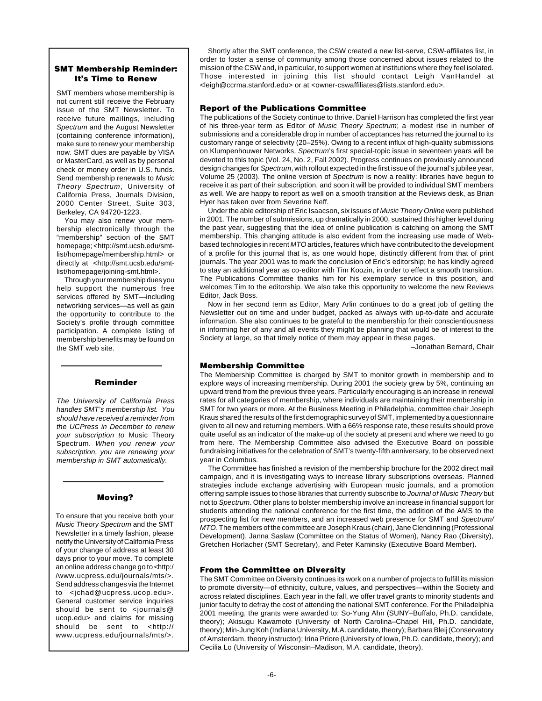# **SMT Membership Reminder: It's Time to Renew**

SMT members whose membership is not current still receive the February issue of the SMT Newsletter. To receive future mailings, including Spectrum and the August Newsletter (containing conference information), make sure to renew your membership now. SMT dues are payable by VISA or MasterCard, as well as by personal check or money order in U.S. funds. Send membership renewals to Music Theory Spectrum, University of California Press, Journals Division, 2000 Center Street, Suite 303, Berkeley, CA 94720-1223.

You may also renew your membership electronically through the "membership" section of the SMT homepage; <http://smt.ucsb.edu/smtlist/homepage/membership.html> or directly at <http://smt.ucsb.edu/smtlist/homepage/joining-smt.html>.

Through your membership dues you help support the numerous free services offered by SMT—including networking services—as well as gain the opportunity to contribute to the Society's profile through committee participation. A complete listing of membership benefits may be found on the SMT web site.

# **Reminder**

The University of California Press handles SMT's membership list. You should have received a reminder from the UCPress in December to renew your subscription to Music Theory Spectrum. When you renew your subscription, you are renewing your membership in SMT automatically.

# **Moving?**

To ensure that you receive both your Music Theory Spectrum and the SMT Newsletter in a timely fashion, please notify the University of California Press of your change of address at least 30 days prior to your move. To complete an online address change go to <http:/ /www.ucpress.edu/journals/mts/>. Send address changes via the Internet to <jchad@ucpress.ucop.edu>. General customer service inquiries should be sent to <journals@ ucop.edu> and claims for missing should be sent to <http:// www.ucpress.edu/journals/mts/>.

Shortly after the SMT conference, the CSW created a new list-serve, CSW-affiliates list, in order to foster a sense of community among those concerned about issues related to the mission of the CSW and, in particular, to support women at institutions where they feel isolated. Those interested in joining this list should contact Leigh VanHandel at <leigh@ccrma.stanford.edu> or at <owner-cswaffiliates@lists.stanford.edu>.

# **Report of the Publications Committee**

The publications of the Society continue to thrive. Daniel Harrison has completed the first year of his three-year term as Editor of Music Theory Spectrum; a modest rise in number of submissions and a considerable drop in number of acceptances has returned the journal to its customary range of selectivity (20–25%). Owing to a recent influx of high-quality submissions on Klumpenhouwer Networks, Spectrum's first special-topic issue in seventeen years will be devoted to this topic (Vol. 24, No. 2, Fall 2002). Progress continues on previously announced design changes for Spectrum, with rollout expected in the first issue of the journal's jubilee year, Volume 25 (2003). The online version of Spectrum is now a reality: libraries have begun to receive it as part of their subscription, and soon it will be provided to individual SMT members as well. We are happy to report as well on a smooth transition at the Reviews desk, as Brian Hyer has taken over from Severine Neff.

Under the able editorship of Eric Isaacson, six issues of Music Theory Online were published in 2001. The number of submissions, up dramatically in 2000, sustained this higher level during the past year, suggesting that the idea of online publication is catching on among the SMT membership. This changing attitude is also evident from the increasing use made of Webbased technologies in recent MTO articles, features which have contributed to the development of a profile for this journal that is, as one would hope, distinctly different from that of print journals. The year 2001 was to mark the conclusion of Eric's editorship; he has kindly agreed to stay an additional year as co-editor with Tim Koozin, in order to effect a smooth transition. The Publications Committee thanks him for his exemplary service in this position, and welcomes Tim to the editorship. We also take this opportunity to welcome the new Reviews Editor, Jack Boss.

Now in her second term as Editor, Mary Arlin continues to do a great job of getting the Newsletter out on time and under budget, packed as always with up-to-date and accurate information. She also continues to be grateful to the membership for their conscientiousness in informing her of any and all events they might be planning that would be of interest to the Society at large, so that timely notice of them may appear in these pages.

–Jonathan Bernard, Chair

# **Membership Committee**

The Membership Committee is charged by SMT to monitor growth in membership and to explore ways of increasing membership. During 2001 the society grew by 5%, continuing an upward trend from the previous three years. Particularly encouraging is an increase in renewal rates for all categories of membership, where individuals are maintaining their membership in SMT for two years or more. At the Business Meeting in Philadelphia, committee chair Joseph Kraus shared the results of the first demographic survey of SMT, implemented by a questionnaire given to all new and returning members. With a 66% response rate, these results should prove quite useful as an indicator of the make-up of the society at present and where we need to go from here. The Membership Committee also advised the Executive Board on possible fundraising initiatives for the celebration of SMT's twenty-fifth anniversary, to be observed next year in Columbus.

The Committee has finished a revision of the membership brochure for the 2002 direct mail campaign, and it is investigating ways to increase library subscriptions overseas. Planned strategies include exchange advertising with European music journals, and a promotion offering sample issues to those libraries that currently subscribe to Journal of Music Theory but not to Spectrum. Other plans to bolster membership involve an increase in financial support for students attending the national conference for the first time, the addition of the AMS to the prospecting list for new members, and an increased web presence for SMT and Spectrum/ MTO. The members of the committee are Joseph Kraus (chair), Jane Clendinning (Professional Development), Janna Saslaw (Committee on the Status of Women), Nancy Rao (Diversity), Gretchen Horlacher (SMT Secretary), and Peter Kaminsky (Executive Board Member).

## **From the Committee on Diversity**

The SMT Committee on Diversity continues its work on a number of projects to fulfill its mission to promote diversity—of ethnicity, culture, values, and perspectives—within the Society and across related disciplines. Each year in the fall, we offer travel grants to minority students and junior faculty to defray the cost of attending the national SMT conference. For the Philadelphia 2001 meeting, the grants were awarded to: So-Yung Ahn (SUNY–Buffalo, Ph.D. candidate, theory); Akisugu Kawamoto (University of North Carolina–Chapel Hill, Ph.D. candidate, theory); Min-Jung Koh (Indiana University, M.A. candidate, theory); Barbara Bleij (Conservatory of Amsterdam, theory instructor); Irina Priore (University of Iowa, Ph.D. candidate, theory); and Cecilia Lo (University of Wisconsin–Madison, M.A. candidate, theory).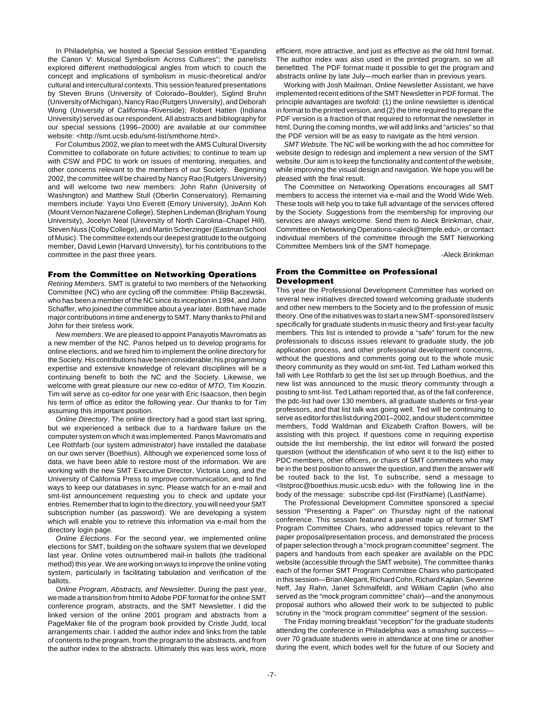In Philadelphia, we hosted a Special Session entitled "Expanding the Canon V: Musical Symbolism Across Cultures"; the panelists explored different methodological angles from which to couch the concept and implications of symbolism in music-theoretical and/or cultural and intercultural contexts. This session featured presentations by Steven Bruns (University of Colorado–Boulder), Siglind Bruhn (University of Michigan), Nancy Rao (Rutgers University), and Deborah Wong (University of California–Riverside); Robert Hatten (Indiana University) served as our respondent. All abstracts and bibliography for our special sessions (1996–2000) are available at our committee website: <http://smt.ucsb.edu/smt-list/smthome.html>.

For Columbus 2002, we plan to meet with the AMS Cultural Diversity Committee to collaborate on future activities; to continue to team up with CSW and PDC to work on issues of mentoring, inequities, and other concerns relevant to the members of our Society. Beginning 2002, the committee will be chaired by Nancy Rao (Rutgers University) and will welcome two new members: John Rahn (University of Washington) and Matthew Stull (Oberlin Conservatory). Remaining members include: Yayoi Uno Everett (Emory University), JoAnn Koh (Mount Vernon Nazarene College), Stephen Lindeman (Brigham Young University), Jocelyn Neal (University of North Carolina–Chapel Hill), Steven Nuss (Colby College), and Martin Scherzinger (Eastman School of Music). The committee extends our deepest gratitude to the outgoing member, David Lewin (Harvard University), for his contributions to the committee in the past three years.

#### **From the Committee on Networking Operations**

Retiring Members. SMT is grateful to two members of the Networking Committee (NC) who are cycling off the committee: Philip Baczewski, who has been a member of the NC since its inception in 1994, and John Schaffer, who joined the committee about a year later. Both have made major contributions in time and energy to SMT. Many thanks to Phil and John for their tireless work.

New members. We are pleased to appoint Panayotis Mavromatis as a new member of the NC. Panos helped us to develop programs for online elections, and we hired him to implement the online directory for the Society. His contributions have been considerable; his programming expertise and extensive knowledge of relevant disciplines will be a continuing benefit to both the NC and the Society. Likewise, we welcome with great pleasure our new co-editor of MTO, Tim Koozin. Tim will serve as co-editor for one year with Eric Isaacson, then begin his term of office as editor the following year. Our thanks to for Tim assuming this important position.

Online Directory. The online directory had a good start last spring, but we experienced a setback due to a hardware failure on the computer system on which it was implemented. Panos Mavromatis and Lee Rothfarb (our system administrator) have installed the database on our own server (Boethius). Although we experienced some loss of data, we have been able to restore most of the information. We are working with the new SMT Executive Director, Victoria Long, and the University of California Press to improve communication, and to find ways to keep our databases in sync. Please watch for an e-mail and smt-list announcement requesting you to check and update your entries. Remember that to login to the directory, you will need your SMT subscription number (as password). We are developing a system which will enable you to retrieve this information via e-mail from the directory login page.

Online Elections. For the second year, we implemented online elections for SMT, building on the software system that we developed last year. Online votes outnumbered mail-in ballots (the traditional method) this year. We are working on ways to improve the online voting system, particularly in facilitating tabulation and verification of the ballots.

Online Program, Abstracts, and Newsletter. During the past year, we made a transition from html to Adobe PDF format for the online SMT conference program, abstracts, and the SMT Newsletter. I did the linked version of the online 2001 program and abstracts from a PageMaker file of the program book provided by Cristle Judd, local arrangements chair. I added the author index and links from the table of contents to the program, from the program to the abstracts, and from the author index to the abstracts. Ultimately this was less work, more

efficient, more attractive, and just as effective as the old html format. The author index was also used in the printed program, so we all benefitted. The PDF format made it possible to get the program and abstracts online by late July—much earlier than in previous years.

Working with Josh Mailman, Online Newsletter Assistant, we have implemented recent editions of the SMT Newsletter in PDF format. The principle advantages are twofold: (1) the online newsletter is identical in format to the printed version, and (2) the time required to prepare the PDF version is a fraction of that required to reformat the newsletter in html. During the coming months, we will add links and "articles" so that the PDF version will be as easy to navigate as the html version.

SMT Website. The NC will be working with the ad hoc committee for website design to redesign and implement a new version of the SMT website. Our aim is to keep the functionality and content of the website, while improving the visual design and navigation. We hope you will be pleased with the final result.

The Committee on Networking Operations encourages all SMT members to access the internet via e-mail and the World Wide Web. These tools will help you to take full advantage of the services offered by the Society. Suggestions from the membership for improving our services are always welcome. Send them to Aleck Brinkman, chair, Committee on Networking Operations <aleck@temple.edu>, or contact individual members of the committee through the SMT Networking Committee Members link of the SMT homepage.

-Aleck Brinkman

## **From the Committee on Professional Development**

This year the Professional Development Committee has worked on several new initiatives directed toward welcoming graduate students and other new members to the Society and to the profession of music theory. One of the initiatives was to start a new SMT-sponsored listserv specifically for graduate students in music theory and first-year faculty members. This list is intended to provide a "safe" forum for the new professionals to discuss issues relevant to graduate study, the job application process, and other professional development concerns, without the questions and comments going out to the whole music theory community as they would on smt-list. Ted Latham worked this fall with Lee Rothfarb to get the list set up through Boethius, and the new list was announced to the music theory community through a posting to smt-list. Ted Latham reported that, as of the fall conference, the pdc-list had over 130 members, all graduate students or first-year professors, and that list talk was going well. Ted will be continuing to serve as editor for this list during 2001–2002, and our student committee members, Todd Waldman and Elizabeth Crafton Bowers, will be assisting with this project. If questions come in requiring expertise outside the list membership, the list editor will forward the posted question (without the identification of who sent it to the list) either to PDC members, other officers, or chairs of SMT committees who may be in the best position to answer the question, and then the answer will be routed back to the list. To subscribe, send a message to <listproc@boethius.music.ucsb.edu> with the following line in the body of the message: subscribe cpd-list (FirstName) (LastName).

The Professional Development Committee sponsored a special session "Presenting a Paper" on Thursday night of the national conference. This session featured a panel made up of former SMT Program Committee Chairs, who addressed topics relevant to the paper proposal/presentation process, and demonstrated the process of paper selection through a "mock program committee" segment. The papers and handouts from each speaker are available on the PDC website (accessible through the SMT website). The committee thanks each of the former SMT Program Committee Chairs who participated in this session—Brian Alegant, Richard Cohn, Richard Kaplan, Severine Neff, Jay Rahn, Janet Schmalfeldt, and William Caplin (who also served as the "mock program committee" chair)—and the anonymous proposal authors who allowed their work to be subjected to public scrutiny in the "mock program committee" segment of the session.

The Friday morning breakfast "reception" for the graduate students attending the conference in Philadelphia was a smashing success over 70 graduate students were in attendance at one time or another during the event, which bodes well for the future of our Society and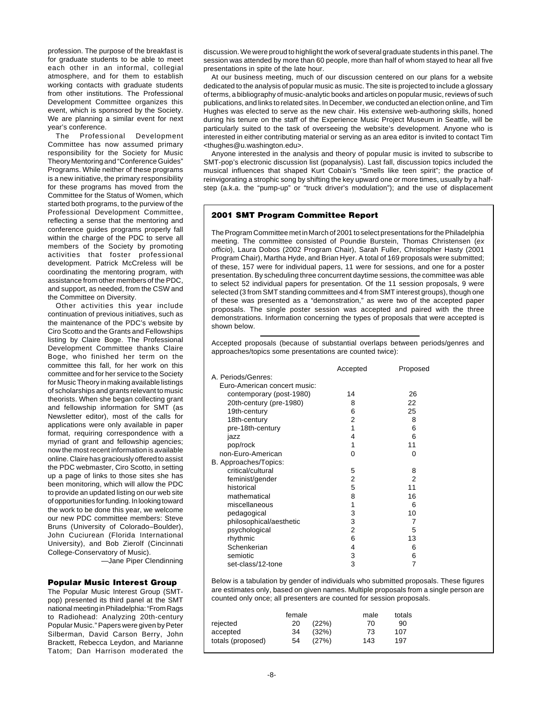profession. The purpose of the breakfast is for graduate students to be able to meet each other in an informal, collegial atmosphere, and for them to establish working contacts with graduate students from other institutions. The Professional Development Committee organizes this event, which is sponsored by the Society. We are planning a similar event for next year's conference.

The Professional Development Committee has now assumed primary responsibility for the Society for Music Theory Mentoring and "Conference Guides" Programs. While neither of these programs is a new initiative, the primary responsibility for these programs has moved from the Committee for the Status of Women, which started both programs, to the purview of the Professional Development Committee, reflecting a sense that the mentoring and conference guides programs properly fall within the charge of the PDC to serve all members of the Society by promoting activities that foster professional development. Patrick McCreless will be coordinating the mentoring program, with assistance from other members of the PDC, and support, as needed, from the CSW and the Committee on Diversity.

Other activities this year include continuation of previous initiatives, such as the maintenance of the PDC's website by Ciro Scotto and the Grants and Fellowships listing by Claire Boge. The Professional Development Committee thanks Claire Boge, who finished her term on the committee this fall, for her work on this committee and for her service to the Society for Music Theory in making available listings of scholarships and grants relevant to music theorists. When she began collecting grant and fellowship information for SMT (as Newsletter editor), most of the calls for applications were only available in paper format, requiring correspondence with a myriad of grant and fellowship agencies; now the most recent information is available online. Claire has graciously offered to assist the PDC webmaster, Ciro Scotto, in setting up a page of links to those sites she has been monitoring, which will allow the PDC to provide an updated listing on our web site of opportunities for funding. In looking toward the work to be done this year, we welcome our new PDC committee members: Steve Bruns (University of Colorado–Boulder), John Cuciurean (Florida International University), and Bob Zierolf (Cincinnati College-Conservatory of Music).

—Jane Piper Clendinning

# **Popular Music Interest Group**

The Popular Music Interest Group (SMTpop) presented its third panel at the SMT national meeting in Philadelphia: "From Rags to Radiohead: Analyzing 20th-century Popular Music." Papers were given by Peter Silberman, David Carson Berry, John Brackett, Rebecca Leydon, and Marianne Tatom; Dan Harrison moderated the

discussion. We were proud to highlight the work of several graduate students in this panel. The session was attended by more than 60 people, more than half of whom stayed to hear all five presentations in spite of the late hour.

At our business meeting, much of our discussion centered on our plans for a website dedicated to the analysis of popular music as music. The site is projected to include a glossary of terms, a bibliography of music-analytic books and articles on popular music, reviews of such publications, and links to related sites. In December, we conducted an election online, and Tim Hughes was elected to serve as the new chair. His extensive web-authoring skills, honed during his tenure on the staff of the Experience Music Project Museum in Seattle, will be particularly suited to the task of overseeing the website's development. Anyone who is interested in either contributing material or serving as an area editor is invited to contact Tim <thughes@u.washington.edu>.

Anyone interested in the analysis and theory of popular music is invited to subscribe to SMT-pop's electronic discussion list (popanalysis). Last fall, discussion topics included the musical influences that shaped Kurt Cobain's "Smells like teen spirit"; the practice of reinvigorating a strophic song by shifting the key upward one or more times, usually by a halfstep (a.k.a. the "pump-up" or "truck driver's modulation"); and the use of displacement

## **2001 SMT Program Committee Report**

The Program Committee met in March of 2001 to select presentations for the Philadelphia meeting. The committee consisted of Poundie Burstein, Thomas Christensen (ex officio), Laura Dobos (2002 Program Chair), Sarah Fuller, Christopher Hasty (2001 Program Chair), Martha Hyde, and Brian Hyer. A total of 169 proposals were submitted; of these, 157 were for individual papers, 11 were for sessions, and one for a poster presentation. By scheduling three concurrent daytime sessions, the committee was able to select 52 individual papers for presentation. Of the 11 session proposals, 9 were selected (3 from SMT standing committees and 4 from SMT interest groups), though one of these was presented as a "demonstration," as were two of the accepted paper proposals. The single poster session was accepted and paired with the three demonstrations. Information concerning the types of proposals that were accepted is shown below.

Accepted proposals (because of substantial overlaps between periods/genres and approaches/topics some presentations are counted twice):

|                              | Accepted       | Proposed |
|------------------------------|----------------|----------|
| A. Periods/Genres:           |                |          |
| Euro-American concert music: |                |          |
| contemporary (post-1980)     | 14             | 26       |
| 20th-century (pre-1980)      | 8              | 22       |
| 19th-century                 | 6              | 25       |
| 18th-century                 | 2              | 8        |
| pre-18th-century             | 1              | 6        |
| jazz                         | 4              | 6        |
| pop/rock                     | 1              | 11       |
| non-Euro-American            | 0              | 0        |
| B. Approaches/Topics:        |                |          |
| critical/cultural            | 5              | 8        |
| feminist/gender              | $\overline{2}$ | 2        |
| historical                   | 5              | 11       |
| mathematical                 | 8              | 16       |
| miscellaneous                | 1              | 6        |
| pedagogical                  | 3              | 10       |
| philosophical/aesthetic      | 3              | 7        |
| psychological                | $\overline{2}$ | 5        |
| rhythmic                     | 6              | 13       |
| Schenkerian                  | $\overline{4}$ | 6        |
| semiotic                     | 3              | 6        |
| set-class/12-tone            | 3              | 7        |

Below is a tabulation by gender of individuals who submitted proposals. These figures are estimates only, based on given names. Multiple proposals from a single person are counted only once; all presenters are counted for session proposals.

|                   | female |       | male | totals |
|-------------------|--------|-------|------|--------|
| rejected          | 20     | (22%) | 70   | 90     |
| accepted          | 34     | (32%) | 73   | 107    |
| totals (proposed) | 54     | (27%) | 143  | 197    |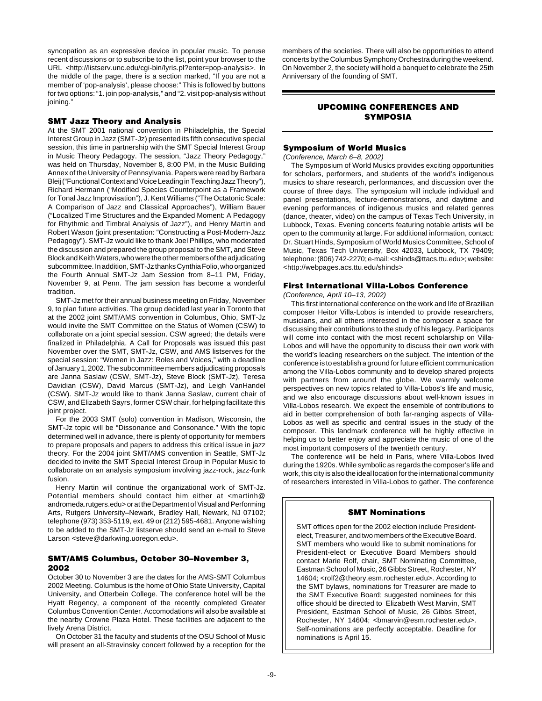syncopation as an expressive device in popular music. To peruse recent discussions or to subscribe to the list, point your browser to the URL <http://listserv.unc.edu/cgi-bin/lyris.pl?enter=pop-analysis>. In the middle of the page, there is a section marked, "If you are not a member of 'pop-analysis', please choose:" This is followed by buttons for two options: "1. join pop-analysis," and "2. visit pop-analysis without ioining."

## **SMT Jazz Theory and Analysis**

At the SMT 2001 national convention in Philadelphia, the Special Interest Group in Jazz (SMT-Jz) presented its fifth consecutive special session, this time in partnership with the SMT Special Interest Group in Music Theory Pedagogy. The session, "Jazz Theory Pedagogy," was held on Thursday, November 8, 8:00 PM, in the Music Building Annex of the University of Pennsylvania. Papers were read by Barbara Bleij ("Functional Context and Voice Leading in Teaching Jazz Theory"), Richard Hermann ("Modified Species Counterpoint as a Framework for Tonal Jazz Improvisation"), J. Kent Williams ("The Octatonic Scale: A Comparison of Jazz and Classical Approaches"), William Bauer ("Localized Time Structures and the Expanded Moment: A Pedagogy for Rhythmic and Timbral Analysis of Jazz"), and Henry Martin and Robert Wason (joint presentation: "Constructing a Post-Modern-Jazz Pedagogy"). SMT-Jz would like to thank Joel Phillips, who moderated the discussion and prepared the group proposal to the SMT, and Steve Block and Keith Waters, who were the other members of the adjudicating subcommittee. In addition, SMT-Jz thanks Cynthia Folio, who organized the Fourth Annual SMT-Jz Jam Session from 8–11 PM, Friday, November 9, at Penn. The jam session has become a wonderful tradition.

SMT-Jz met for their annual business meeting on Friday, November 9, to plan future activities. The group decided last year in Toronto that at the 2002 joint SMT/AMS convention in Columbus, Ohio, SMT-Jz would invite the SMT Committee on the Status of Women (CSW) to collaborate on a joint special session. CSW agreed; the details were finalized in Philadelphia. A Call for Proposals was issued this past November over the SMT, SMT-Jz, CSW, and AMS listserves for the special session: "Women in Jazz: Roles and Voices," with a deadline of January 1, 2002. The subcommittee members adjudicating proposals are Janna Saslaw (CSW, SMT-Jz), Steve Block (SMT-Jz), Teresa Davidian (CSW), David Marcus (SMT-Jz), and Leigh VanHandel (CSW). SMT-Jz would like to thank Janna Saslaw, current chair of CSW, and Elizabeth Sayrs, former CSW chair, for helping facilitate this joint project.

For the 2003 SMT (solo) convention in Madison, Wisconsin, the SMT-Jz topic will be "Dissonance and Consonance." With the topic determined well in advance, there is plenty of opportunity for members to prepare proposals and papers to address this critical issue in jazz theory. For the 2004 joint SMT/AMS convention in Seattle, SMT-Jz decided to invite the SMT Special Interest Group in Popular Music to collaborate on an analysis symposium involving jazz-rock, jazz-funk fusion.

Henry Martin will continue the organizational work of SMT-Jz. Potential members should contact him either at <martinh@ andromeda.rutgers.edu> or at the Department of Visual and Performing Arts, Rutgers University–Newark, Bradley Hall, Newark, NJ 07102; telephone (973) 353-5119, ext. 49 or (212) 595-4681. Anyone wishing to be added to the SMT-Jz listserve should send an e-mail to Steve Larson <steve@darkwing.uoregon.edu>.

# **SMT/AMS Columbus, October 30–November 3, 2002**

October 30 to November 3 are the dates for the AMS-SMT Columbus 2002 Meeting. Columbus is the home of Ohio State University, Capital University, and Otterbein College. The conference hotel will be the Hyatt Regency, a component of the recently completed Greater Columbus Convention Center. Accomodations will also be available at the nearby Crowne Plaza Hotel. These facilities are adjacent to the lively Arena District.

On October 31 the faculty and students of the OSU School of Music will present an all-Stravinsky concert followed by a reception for the

members of the societies. There will also be opportunities to attend concerts by the Columbus Symphony Orchestra during the weekend. On November 2, the society will hold a banquet to celebrate the 25th Anniversary of the founding of SMT.

# **UPCOMING CONFERENCES AND SYMPOSIA**

# **Symposium of World Musics**

(Conference, March 6–8, 2002)

The Symposium of World Musics provides exciting opportunities for scholars, performers, and students of the world's indigenous musics to share research, performances, and discussion over the course of three days. The symposium will include individual and panel presentations, lecture-demonstrations, and daytime and evening performances of indigenous musics and related genres (dance, theater, video) on the campus of Texas Tech University, in Lubbock, Texas. Evening concerts featuring notable artists will be open to the community at large. For additional information, contact: Dr. Stuart Hinds, Symposium of World Musics Committee, School of Music, Texas Tech University, Box 42033, Lubbock, TX 79409; telephone: (806) 742-2270; e-mail: <shinds@ttacs.ttu.edu>; website: <http://webpages.acs.ttu.edu/shinds>

# **First International Villa-Lobos Conference**

(Conference, April 10–13, 2002)

This first international conference on the work and life of Brazilian composer Heitor Villa-Lobos is intended to provide researchers, musicians, and all others interested in the composer a space for discussing their contributions to the study of his legacy. Participants will come into contact with the most recent scholarship on Villa-Lobos and will have the opportunity to discuss their own work with the world's leading researchers on the subject. The intention of the conference is to establish a ground for future efficient communication among the Villa-Lobos community and to develop shared projects with partners from around the globe. We warmly welcome perspectives on new topics related to Villa-Lobos's life and music, and we also encourage discussions about well-known issues in Villa-Lobos research. We expect the ensemble of contributions to aid in better comprehension of both far-ranging aspects of Villa-Lobos as well as specific and central issues in the study of the composer. This landmark conference will be highly effective in helping us to better enjoy and appreciate the music of one of the most important composers of the twentieth century.

The conference will be held in Paris, where Villa-Lobos lived during the 1920s. While symbolic as regards the composer's life and work, this city is also the ideal location for the international community of researchers interested in Villa-Lobos to gather. The conference

## **SMT Nominations**

SMT offices open for the 2002 election include Presidentelect, Treasurer, and two members of the Executive Board. SMT members who would like to submit nominations for President-elect or Executive Board Members should contact Marie Rolf, chair, SMT Nominating Committee, Eastman School of Music, 26 Gibbs Street, Rochester, NY 14604; <rolf2@theory.esm.rochester.edu>. According to the SMT bylaws, nominations for Treasurer are made to the SMT Executive Board; suggested nominees for this office should be directed to Elizabeth West Marvin, SMT President, Eastman School of Music, 26 Gibbs Street, Rochester, NY 14604; <br/>bmarvin@esm.rochester.edu>. Self-nominations are perfectly acceptable. Deadline for nominations is April 15.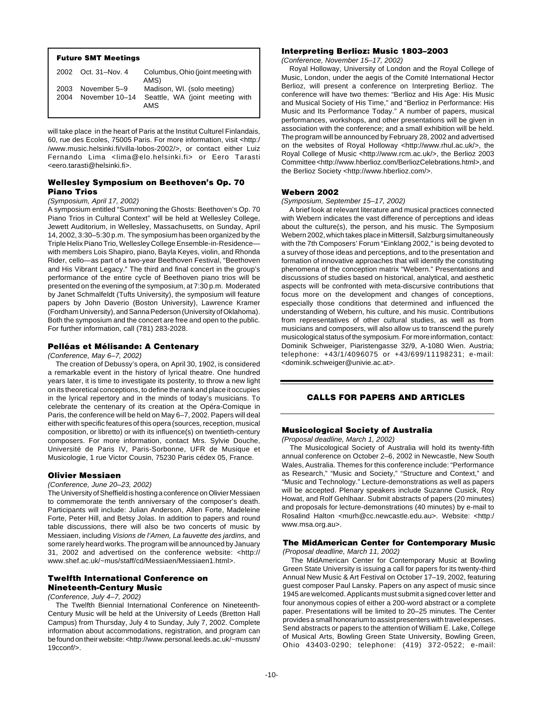|              | <b>Future SMT Meetings</b>     |                                                                |
|--------------|--------------------------------|----------------------------------------------------------------|
|              | 2002 Oct. 31-Nov. 4            | Columbus, Ohio (joint meeting with<br>AMS)                     |
| 2003<br>2004 | November 5-9<br>November 10-14 | Madison, WI. (solo meeting)<br>Seattle, WA (joint meeting with |
|              |                                | <b>AMS</b>                                                     |

will take place in the heart of Paris at the Institut Culturel Finlandais, 60, rue des Ecoles, 75005 Paris. For more information, visit <http:/ /www.music.helsinki.fi/villa-lobos-2002/>, or contact either Luiz Fernando Lima <lima@elo.helsinki.fi> or Eero Tarasti <eero.tarasti@helsinki.fi>.

# **Wellesley Symposium on Beethoven's Op. 70 Piano Trios**

## (Symposium, April 17, 2002)

A symposium entitled "Summoning the Ghosts: Beethoven's Op. 70 Piano Trios in Cultural Context" will be held at Wellesley College, Jewett Auditorium, in Wellesley, Massachusetts, on Sunday, April 14, 2002, 3:30–5:30 p.m. The symposium has been organized by the Triple Helix Piano Trio, Wellesley College Ensemble-in-Residence with members Lois Shapiro, piano, Bayla Keyes, violin, and Rhonda Rider, cello—as part of a two-year Beethoven Festival, "Beethoven and His Vibrant Legacy." The third and final concert in the group's performance of the entire cycle of Beethoven piano trios will be presented on the evening of the symposium, at 7:30 p.m. Moderated by Janet Schmalfeldt (Tufts University), the symposium will feature papers by John Daverio (Boston University), Lawrence Kramer (Fordham University), and Sanna Pederson (University of Oklahoma). Both the symposium and the concert are free and open to the public. For further information, call (781) 283-2028.

## **Pelléas et Mélisande: A Centenary**

(Conference, May 6–7, 2002)

The creation of Debussy's opera, on April 30, 1902, is considered a remarkable event in the history of lyrical theatre. One hundred years later, it is time to investigate its posterity, to throw a new light on its theoretical conceptions, to define the rank and place it occupies in the lyrical repertory and in the minds of today's musicians. To celebrate the centenary of its creation at the Opéra-Comique in Paris, the conference will be held on May 6–7, 2002. Papers will deal either with specific features of this opera (sources, reception, musical composition, or libretto) or with its influence(s) on twentieth-century composers. For more information, contact Mrs. Sylvie Douche, Université de Paris IV, Paris-Sorbonne, UFR de Musique et Musicologie, 1 rue Victor Cousin, 75230 Paris cédex 05, France.

# **Olivier Messiaen**

#### (Conference, June 20–23, 2002)

The University of Sheffield is hosting a conference on Olivier Messiaen to commemorate the tenth anniversary of the composer's death. Participants will include: Julian Anderson, Allen Forte, Madeleine Forte, Peter Hill, and Betsy Jolas. In addition to papers and round table discussions, there will also be two concerts of music by Messiaen, including Visions de l'Amen, La fauvette des jardins, and some rarely heard works. The program will be announced by January 31, 2002 and advertised on the conference website: <http:// www.shef.ac.uk/~mus/staff/cd/Messiaen/Messiaen1.html>.

# **Twelfth International Conference on Nineteenth-Century Music**

## (Conference, July 4–7, 2002)

The Twelfth Biennial International Conference on Nineteenth-Century Music will be held at the University of Leeds (Bretton Hall Campus) from Thursday, July 4 to Sunday, July 7, 2002. Complete information about accommodations, registration, and program can be found on their website: <http://www.personal.leeds.ac.uk/~mussm/ 19cconf/>.

#### **Interpreting Berlioz: Music 1803–2003**

(Conference, November 15–17, 2002)

Royal Holloway, University of London and the Royal College of Music, London, under the aegis of the Comité International Hector Berlioz, will present a conference on Interpreting Berlioz. The conference will have two themes: "Berlioz and His Age: His Music and Musical Society of His Time," and "Berlioz in Performance: His Music and Its Performance Today." A number of papers, musical performances, workshops, and other presentations will be given in association with the conference; and a small exhibition will be held. The program will be announced by February 28, 2002 and advertised on the websites of Royal Holloway <http://www.rhul.ac.uk/>, the Royal College of Music <http://www.rcm.ac.uk/>, the Berlioz 2003 Committee <http://www.hberlioz.com/BerliozCelebrations.html>, and the Berlioz Society <http://www.hberlioz.com/>.

## **Webern 2002**

(Symposium, September 15–17, 2002)

A brief look at relevant literature and musical practices connected with Webern indicates the vast difference of perceptions and ideas about the culture(s), the person, and his music. The Symposium Webern 2002, which takes place in Mittersill, Salzburg simultaneously with the 7th Composers' Forum "Einklang 2002," is being devoted to a survey of those ideas and perceptions, and to the presentation and formation of innovative approaches that will identify the constituting phenomena of the conception matrix "Webern." Presentations and discussions of studies based on historical, analytical, and aesthetic aspects will be confronted with meta-discursive contributions that focus more on the development and changes of conceptions, especially those conditions that determined and influenced the understanding of Webern, his culture, and his music. Contributions from representatives of other cultural studies, as well as from musicians and composers, will also allow us to transcend the purely musicological status of the symposium. For more information, contact: Dominik Schweiger, Piaristengasse 32/9, A-1080 Wien. Austria; telephone: +43/1/4096075 or +43/699/11198231; e-mail: <dominik.schweiger@univie.ac.at>.

# **CALLS FOR PAPERS AND ARTICLES**

#### **Musicological Society of Australia**

(Proposal deadline, March 1, 2002)

The Musicological Society of Australia will hold its twenty-fifth annual conference on October 2–6, 2002 in Newcastle, New South Wales, Australia. Themes for this conference include: "Performance as Research," "Music and Society," "Structure and Context," and "Music and Technology." Lecture-demonstrations as well as papers will be accepted. Plenary speakers include Suzanne Cusick, Roy Howat, and Rolf Gehlhaar. Submit abstracts of papers (20 minutes) and proposals for lecture-demonstrations (40 minutes) by e-mail to Rosalind Halton <murh@cc.newcastle.edu.au>. Website: <http:/ www.msa.org.au>.

# **The MidAmerican Center for Contemporary Music**

(Proposal deadline, March 11, 2002)

The MidAmerican Center for Contemporary Music at Bowling Green State University is issuing a call for papers for its twenty-third Annual New Music & Art Festival on October 17–19, 2002, featuring guest composer Paul Lansky. Papers on any aspect of music since 1945 are welcomed. Applicants must submit a signed cover letter and four anonymous copies of either a 200-word abstract or a complete paper. Presentations will be limited to 20–25 minutes. The Center provides a small honorarium to assist presenters with travel expenses. Send abstracts or papers to the attention of William E. Lake, College of Musical Arts, Bowling Green State University, Bowling Green, Ohio 43403-0290; telephone: (419) 372-0522; e-mail: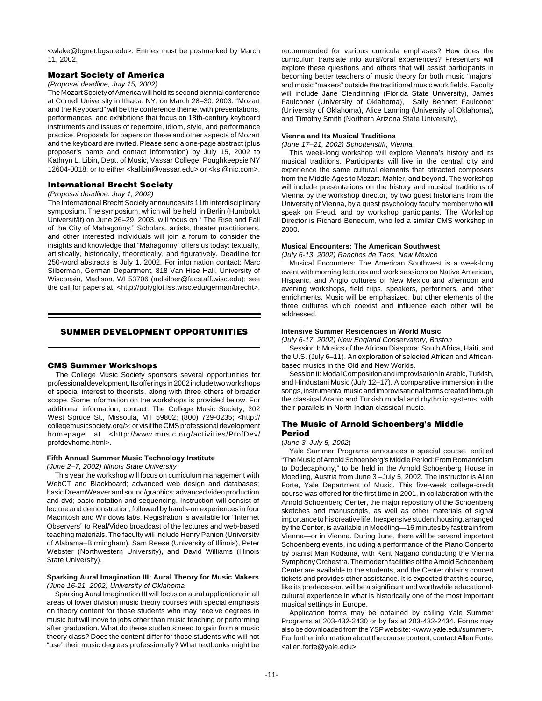<wlake@bgnet.bgsu.edu>. Entries must be postmarked by March 11, 2002.

## **Mozart Society of America**

## (Proposal deadline, July 15, 2002)

The Mozart Society of America will hold its second biennial conference at Cornell University in Ithaca, NY, on March 28–30, 2003. "Mozart and the Keyboard" will be the conference theme, with presentations, performances, and exhibitions that focus on 18th-century keyboard instruments and issues of repertoire, idiom, style, and performance practice. Proposals for papers on these and other aspects of Mozart and the keyboard are invited. Please send a one-page abstract (plus proposer's name and contact information) by July 15, 2002 to Kathryn L. Libin, Dept. of Music, Vassar College, Poughkeepsie NY 12604-0018; or to either <kalibin@vassar.edu> or <ksl@nic.com>.

# **International Brecht Society**

# (Proposal deadline: July 1, 2002)

The International Brecht Society announces its 11th interdisciplinary symposium. The symposium, which will be held in Berlin (Humboldt Universität) on June 26–29, 2003, will focus on " The Rise and Fall of the City of Mahagonny." Scholars, artists, theater practitioners, and other interested individuals will join a forum to consider the insights and knowledge that "Mahagonny" offers us today: textually, artistically, historically, theoretically, and figuratively. Deadline for 250-word abstracts is July 1, 2002. For information contact: Marc Silberman, German Department, 818 Van Hise Hall, University of Wisconsin, Madison, WI 53706 (mdsilber@facstaff.wisc.edu); see the call for papers at: <http://polyglot.lss.wisc.edu/german/brecht>.

## **SUMMER DEVELOPMENT OPPORTUNITIES**

#### **CMS Summer Workshops**

The College Music Society sponsors several opportunities for professional development. Its offerings in 2002 include two workshops of special interest to theorists, along with three others of broader scope. Some information on the workshops is provided below. For additional information, contact: The College Music Society, 202 West Spruce St., Missoula, MT 59802; (800) 729-0235; <http:// collegemusicsociety.org/>; or visit the CMS professional development homepage at <http://www.music.org/activities/ProfDev/ profdevhome.html>.

#### **Fifth Annual Summer Music Technology Institute**

(June 2–7, 2002) Illinois State University

This year the workshop will focus on curriculum management with WebCT and Blackboard; advanced web design and databases; basic DreamWeaver and sound/graphics; advanced video production and dvd; basic notation and sequencing. Instruction will consist of lecture and demonstration, followed by hands-on experiences in four Macintosh and Windows labs. Registration is available for "Internet Observers" to Real/Video broadcast of the lectures and web-based teaching materials. The faculty will include Henry Panion (University of Alabama–Birmingham), Sam Reese (University of Illinois), Peter Webster (Northwestern University), and David Williams (Illinois State University).

#### **Sparking Aural Imagination III: Aural Theory for Music Makers** (June 16-21, 2002) University of Oklahoma

Sparking Aural Imagination III will focus on aural applications in all areas of lower division music theory courses with special emphasis on theory content for those students who may receive degrees in music but will move to jobs other than music teaching or performing after graduation. What do these students need to gain from a music theory class? Does the content differ for those students who will not "use" their music degrees professionally? What textbooks might be

recommended for various curricula emphases? How does the curriculum translate into aural/oral experiences? Presenters will explore these questions and others that will assist participants in becoming better teachers of music theory for both music "majors" and music "makers" outside the traditional music work fields. Faculty will include Jane Clendinning (Florida State University), James Faulconer (University of Oklahoma), Sally Bennett Faulconer (University of Oklahoma), Alice Lanning (University of Oklahoma), and Timothy Smith (Northern Arizona State University).

#### **Vienna and Its Musical Traditions**

(June 17–21, 2002) Schottenstift, Vienna

This week-long workshop will explore Vienna's history and its musical traditions. Participants will live in the central city and experience the same cultural elements that attracted composers from the Middle Ages to Mozart, Mahler, and beyond. The workshop will include presentations on the history and musical traditions of Vienna by the workshop director, by two guest historians from the University of Vienna, by a guest psychology faculty member who will speak on Freud, and by workshop participants. The Workshop Director is Richard Benedum, who led a similar CMS workshop in 2000.

#### **Musical Encounters: The American Southwest**

(July 6-13, 2002) Ranchos de Taos, New Mexico

Musical Encounters: The American Southwest is a week-long event with morning lectures and work sessions on Native American. Hispanic, and Anglo cultures of New Mexico and afternoon and evening workshops, field trips, speakers, performers, and other enrichments. Music will be emphasized, but other elements of the three cultures which coexist and influence each other will be addressed.

#### **Intensive Summer Residencies in World Music**

(July 6-17, 2002) New England Conservatory, Boston

Session I: Musics of the African Diaspora: South Africa, Haiti, and the U.S. (July 6–11). An exploration of selected African and Africanbased musics in the Old and New Worlds.

Session II: Modal Composition and Improvisation in Arabic, Turkish, and Hindustani Music (July 12–17). A comparative immersion in the songs, instrumental music and improvisational forms created through the classical Arabic and Turkish modal and rhythmic systems, with their parallels in North Indian classical music.

#### **The Music of Arnold Schoenberg's Middle Period**

#### (June 3–July 5, 2002)

Yale Summer Programs announces a special course, entitled "The Music of Arnold Schoenberg's Middle Period: From Romanticism to Dodecaphony," to be held in the Arnold Schoenberg House in Moedling, Austria from June 3 –July 5, 2002. The instructor is Allen Forte, Yale Department of Music. This five-week college-credit course was offered for the first time in 2001, in collaboration with the Arnold Schoenberg Center, the major repository of the Schoenberg sketches and manuscripts, as well as other materials of signal importance to his creative life. Inexpensive student housing, arranged by the Center, is available in Moedling—16 minutes by fast train from Vienna—or in Vienna. During June, there will be several important Schoenberg events, including a performance of the Piano Concerto by pianist Mari Kodama, with Kent Nagano conducting the Vienna Symphony Orchestra. The modern facilities of the Arnold Schoenberg Center are available to the students, and the Center obtains concert tickets and provides other assistance. It is expected that this course, like its predecessor, will be a significant and worthwhile educationalcultural experience in what is historically one of the most important musical settings in Europe.

Application forms may be obtained by calling Yale Summer Programs at 203-432-2430 or by fax at 203-432-2434. Forms may also be downloaded from the YSP website: <www.yale.edu/summer>. For further information about the course content, contact Allen Forte: <allen.forte@yale.edu>.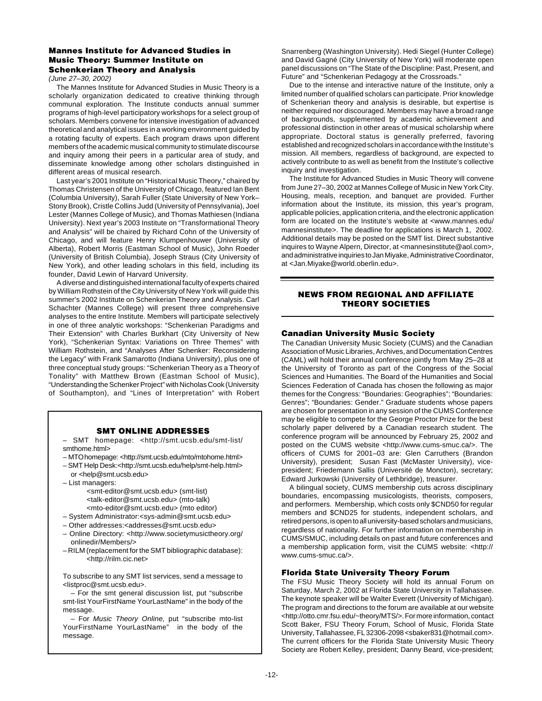# **Mannes Institute for Advanced Studies in Music Theory: Summer Institute on Schenkerian Theory and Analysis**

(June 27–30, 2002)

The Mannes Institute for Advanced Studies in Music Theory is a scholarly organization dedicated to creative thinking through communal exploration. The Institute conducts annual summer programs of high-level participatory workshops for a select group of scholars. Members convene for intensive investigation of advanced theoretical and analytical issues in a working environment guided by a rotating faculty of experts. Each program draws upon different members of the academic musical community to stimulate discourse and inquiry among their peers in a particular area of study, and disseminate knowledge among other scholars distinguished in different areas of musical research.

Last year's 2001 Institute on "Historical Music Theory," chaired by Thomas Christensen of the University of Chicago, featured Ian Bent (Columbia University), Sarah Fuller (State University of New York– Stony Brook), Cristle Collins Judd (University of Pennsylvania), Joel Lester (Mannes College of Music), and Thomas Mathiesen (Indiana University). Next year's 2003 Institute on "Transformational Theory and Analysis" will be chaired by Richard Cohn of the University of Chicago, and will feature Henry Klumpenhouwer (University of Alberta), Robert Morris (Eastman School of Music), John Roeder (University of British Columbia), Joseph Straus (City University of New York), and other leading scholars in this field, including its founder, David Lewin of Harvard University.

A diverse and distinguished international faculty of experts chaired by William Rothstein of the City University of New York will guide this summer's 2002 Institute on Schenkerian Theory and Analysis. Carl Schachter (Mannes College) will present three comprehensive analyses to the entire Institute. Members will participate selectively in one of three analytic workshops: "Schenkerian Paradigms and Their Extension" with Charles Burkhart (City University of New York), "Schenkerian Syntax: Variations on Three Themes" with William Rothstein, and "Analyses After Schenker: Reconsidering the Legacy" with Frank Samarotto (Indiana University), plus one of three conceptual study groups: "Schenkerian Theory as a Theory of Tonality" with Matthew Brown (Eastman School of Music), "Understanding the Schenker Project" with Nicholas Cook (University of Southampton), and "Lines of Interpretation" with Robert

# **SMT ONLINE ADDRESSES**

– SMT homepage: <http://smt.ucsb.edu/smt-list/ smthome.html>

– MTO homepage: <http://smt.ucsb.edu/mto/mtohome.html>

– SMT Help Desk:<http://smt.ucsb.edu/help/smt-help.html> or <help@smt.ucsb.edu>

– List managers:

<smt-editor@smt.ucsb.edu> (smt-list) <talk-editor@smt.ucsb.edu> (mto-talk) <mto-editor@smt.ucsb.edu> (mto editor)

- System Administrator:<sys-admin@smt.ucsb.edu>
- Other addresses:<addresses@smt.ucsb.edu>
- Online Directory: <http://www.societymusictheory.org/ onlinedir/Members/>
- RILM (replacement for the SMT bibliographic database): <http://rilm.cic.net>

To subscribe to any SMT list services, send a message to <listproc@smt.ucsb.edu>.

– For the smt general discussion list, put "subscribe smt-list YourFirstName YourLastName" in the body of the message.

– For Music Theory Online, put "subscribe mto-list YourFirstName YourLastName" in the body of the message.

Snarrenberg (Washington University). Hedi Siegel (Hunter College) and David Gagné (City University of New York) will moderate open panel discussions on "The State of the Discipline: Past, Present, and Future" and "Schenkerian Pedagogy at the Crossroads."

Due to the intense and interactive nature of the Institute, only a limited number of qualified scholars can participate. Prior knowledge of Schenkerian theory and analysis is desirable, but expertise is neither required nor discouraged. Members may have a broad range of backgrounds, supplemented by academic achievement and professional distinction in other areas of musical scholarship where appropriate. Doctoral status is generally preferred, favoring established and recognized scholars in accordance with the Institute's mission. All members, regardless of background, are expected to actively contribute to as well as benefit from the Institute's collective inquiry and investigation.

The Institute for Advanced Studies in Music Theory will convene from June 27–30, 2002 at Mannes College of Music in New York City. Housing, meals, reception, and banquet are provided. Further information about the Institute, its mission, this year's program, applicable policies, application criteria, and the electronic application form are located on the Institute's website at <www.mannes.edu/ mannesinstitute>. The deadline for applications is March 1, 2002. Additional details may be posted on the SMT list. Direct substantive inquires to Wayne Alpern, Director, at <mannesinstitute@aol.com>, and administrative inquiries to Jan Miyake, Administrative Coordinator, at <Jan.Miyake@world.oberlin.edu>.

# **NEWS FROM REGIONAL AND AFFILIATE THEORY SOCIETIES**

# **Canadian University Music Society**

The Canadian University Music Society (CUMS) and the Canadian Association of Music Libraries, Archives, and Documentation Centres (CAML) will hold their annual conference jointly from May 25–28 at the University of Toronto as part of the Congress of the Social Sciences and Humanities. The Board of the Humanities and Social Sciences Federation of Canada has chosen the following as major themes for the Congress: "Boundaries: Geographies"; "Boundaries: Genres"; "Boundaries: Gender." Graduate students whose papers are chosen for presentation in any session of the CUMS Conference may be eligible to compete for the George Proctor Prize for the best scholarly paper delivered by a Canadian research student. The conference program will be announced by February 25, 2002 and posted on the CUMS website <http://www.cums-smuc.ca/>. The officers of CUMS for 2001–03 are: Glen Carruthers (Brandon University), president; Susan Fast (McMaster University), vicepresident; Friedemann Sallis (Université de Moncton), secretary; Edward Jurkowski (University of Lethbridge), treasurer.

A bilingual society, CUMS membership cuts across disciplinary boundaries, encompassing musicologists, theorists, composers, and performers. Membership, which costs only \$CND50 for regular members and \$CND25 for students, independent scholars, and retired persons, is open to all university-based scholars and musicians, regardless of nationality. For further information on membership in CUMS/SMUC, including details on past and future conferences and a membership application form, visit the CUMS website: <http:// www.cums-smuc.ca/>.

# **Florida State University Theory Forum**

The FSU Music Theory Society will hold its annual Forum on Saturday, March 2, 2002 at Florida State University in Tallahassee. The keynote speaker will be Walter Everett (University of Michigan). The program and directions to the forum are available at our website <http://otto.cmr.fsu.edu/~theory/MTS/>. For more information, contact Scott Baker, FSU Theory Forum, School of Music, Florida State University, Tallahassee, FL 32306-2098 <sbaker831@hotmail.com>. The current officers for the Florida State University Music Theory Society are Robert Kelley, president; Danny Beard, vice-president;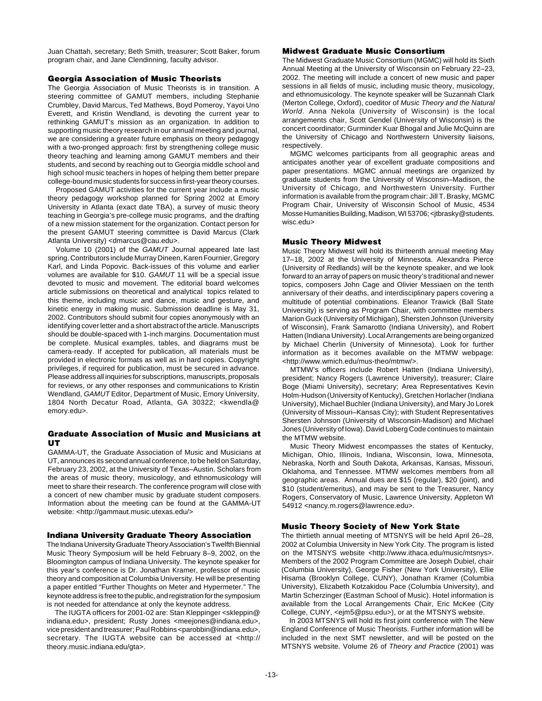Juan Chattah, secretary; Beth Smith, treasurer; Scott Baker, forum program chair, and Jane Clendinning, faculty advisor.

## **Georgia Association of Music Theorists**

The Georgia Association of Music Theorists is in transition. A steering committee of GAMUT members, including Stephanie Crumbley, David Marcus, Ted Mathews, Boyd Pomeroy, Yayoi Uno Everett, and Kristin Wendland, is devoting the current year to rethinking GAMUT's mission as an organization. In addition to supporting music theory research in our annual meeting and journal, we are considering a greater future emphasis on theory pedagogy with a two-pronged approach: first by strengthening college music theory teaching and learning among GAMUT members and their students, and second by reaching out to Georgia middle school and high school music teachers in hopes of helping them better prepare college-bound music students for success in first-year theory courses.

Proposed GAMUT activities for the current year include a music theory pedagogy workshop planned for Spring 2002 at Emory University in Atlanta (exact date TBA), a survey of music theory teaching in Georgia's pre-college music programs, and the drafting of a new mission statement for the organization. Contact person for the present GAMUT steering committee is David Marcus (Clark Atlanta University) <dmarcus@cau.edu>.

Volume 10 (2001) of the GAMUT Journal appeared late last spring. Contributors include Murray Dineen, Karen Fournier, Gregory Karl, and Linda Popovic. Back-issues of this volume and earlier volumes are available for \$10. GAMUT 11 will be a special issue devoted to music and movement. The editorial board welcomes article submissions on theoretical and analytical topics related to this theme, including music and dance, music and gesture, and kinetic energy in making music. Submission deadline is May 31, 2002. Contributors should submit four copies anonymously with an identifying cover letter and a short abstract of the article. Manuscripts should be double-spaced with 1-inch margins. Documentation must be complete. Musical examples, tables, and diagrams must be camera-ready. If accepted for publication, all materials must be provided in electronic formats as well as in hard copies. Copyright privileges, if required for publication, must be secured in advance. Please address all inquiries for subscriptions, manuscripts, proposals for reviews, or any other responses and communications to Kristin Wendland, GAMUT Editor, Department of Music, Emory University, 1804 North Decatur Road, Atlanta, GA 30322; <kwendla@ emory.edu>.

## **Graduate Association of Music and Musicians at UT**

GAMMA-UT, the Graduate Association of Music and Musicians at UT, announces its second annual conference, to be held on Saturday, February 23, 2002, at the University of Texas–Austin. Scholars from the areas of music theory, musicology, and ethnomusicology will meet to share their research. The conference program will close with a concert of new chamber music by graduate student composers. Information about the meeting can be found at the GAMMA-UT website: <http://gammaut.music.utexas.edu/>

## **Indiana University Graduate Theory Association**

The Indiana University Graduate Theory Association's Twelfth Biennial Music Theory Symposium will be held February 8–9, 2002, on the Bloomington campus of Indiana University. The keynote speaker for this year's conference is Dr. Jonathan Kramer, professor of music theory and composition at Columbia University. He will be presenting a paper entitled "Further Thoughts on Meter and Hypermeter." The keynote address is free to the public, and registration for the symposium is not needed for attendance at only the keynote address.

The IUGTA officers for 2001-02 are: Stan Kleppinger <skleppin@ indiana.edu>, president; Rusty Jones <meejones@indiana.edu>, vice president and treasurer; Paul Robbins <parobbin@indiana.edu>, secretary. The IUGTA website can be accessed at <http:// theory.music.indiana.edu/gta>.

# **Midwest Graduate Music Consortium**

The Midwest Graduate Music Consortium (MGMC) will hold its Sixth Annual Meeting at the University of Wisconsin on February 22–23, 2002. The meeting will include a concert of new music and paper sessions in all fields of music, including music theory, musicology, and ethnomusicology. The keynote speaker will be Suzannah Clark (Merton College, Oxford), coeditor of Music Theory and the Natural World. Anna Nekola (University of Wisconsin) is the local arrangements chair, Scott Gendel (University of Wisconsin) is the concert coordinator; Gurminder Kuar Bhogal and Julie McQuinn are the University of Chicago and Northwestern University liaisons, respectively.

MGMC welcomes participants from all geographic areas and anticipates another year of excellent graduate compositions and paper presentations. MGMC annual meetings are organized by graduate students from the University of Wisconsin–Madison, the University of Chicago, and Northwestern University. Further information is available from the program chair: Jill T. Brasky, MGMC Program Chair, University of Wisconsin School of Music, 4534 Mosse Humanities Building, Madison, WI 53706; <jtbrasky@students. wisc.edu>

## **Music Theory Midwest**

Music Theory Midwest will hold its thirteenth annual meeting May 17–18, 2002 at the University of Minnesota. Alexandra Pierce (University of Redlands) will be the keynote speaker, and we look forward to an array of papers on music theory's traditional and newer topics, composers John Cage and Olivier Messiaen on the tenth anniversary of their deaths, and interdisciplinary papers covering a multitude of potential combinations. Eleanor Trawick (Ball State University) is serving as Program Chair, with committee members Marion Guck (University of Michigan), Shersten Johnson (University of Wisconsin), Frank Samarotto (Indiana University), and Robert Hatten (Indiana University). Local Arrangements are being organized by Michael Cherlin (University of Minnesota). Look for further information as it becomes available on the MTMW webpage: <http://www.wmich.edu/mus-theo/mtmw/>.

MTMW's officers include Robert Hatten (Indiana University), president; Nancy Rogers (Lawrence University), treasurer; Claire Boge (Miami University), secretary; Area Representatives Kevin Holm-Hudson (University of Kentucky), Gretchen Horlacher (Indiana University), Michael Buchler (Indiana University), and Mary Jo Lorek (University of Missouri–Kansas City); with Student Representatives Shersten Johnson (University of Wisconsin-Madison) and Michael Jones (University of Iowa). David Loberg Code continues to maintain the MTMW website.

Music Theory Midwest encompasses the states of Kentucky, Michigan, Ohio, Illinois, Indiana, Wisconsin, Iowa, Minnesota, Nebraska, North and South Dakota, Arkansas, Kansas, Missouri, Oklahoma, and Tennessee. MTMW welcomes members from all geographic areas. Annual dues are \$15 (regular), \$20 (joint), and \$10 (student/emeritus), and may be sent to the Treasurer, Nancy Rogers, Conservatory of Music, Lawrence University, Appleton WI 54912 <nancy.m.rogers@lawrence.edu>.

#### **Music Theory Society of New York State**

The thirtieth annual meeting of MTSNYS will be held April 26–28, 2002 at Columbia University in New York City. The program is listed on the MTSNYS website <http://www.ithaca.edu/music/mtsnys>. Members of the 2002 Program Committee are Joseph Dubiel, chair (Columbia University), George Fisher (New York University), Ellie Hisama (Brooklyn College, CUNY), Jonathan Kramer (Columbia University), Elizabeth Kotzakidou Pace (Columbia University), and Martin Scherzinger (Eastman School of Music). Hotel information is available from the Local Arrangements Chair, Eric McKee (City College, CUNY, <ejm5@psu.edu>), or at the MTSNYS website.

In 2003 MTSNYS will hold its first joint conference with The New England Conference of Music Theorists. Further information will be included in the next SMT newsletter, and will be posted on the MTSNYS website. Volume 26 of Theory and Practice (2001) was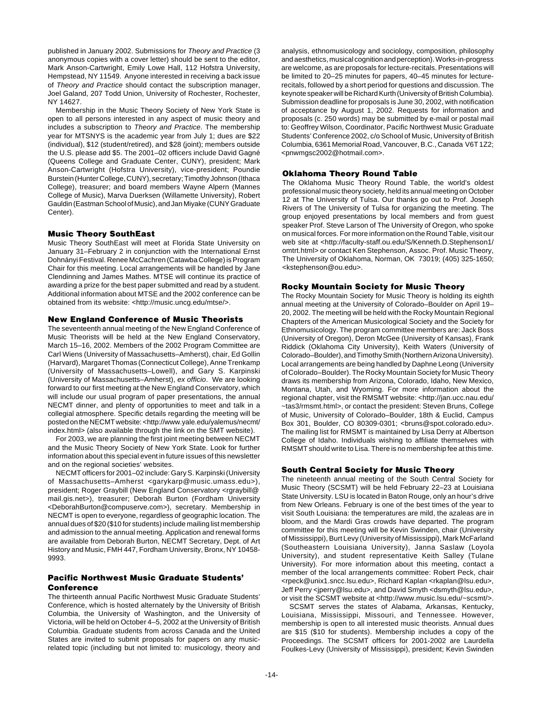published in January 2002. Submissions for Theory and Practice (3 anonymous copies with a cover letter) should be sent to the editor, Mark Anson-Cartwright, Emily Lowe Hall, 112 Hofstra University, Hempstead, NY 11549. Anyone interested in receiving a back issue of Theory and Practice should contact the subscription manager, Joel Galand, 207 Todd Union, University of Rochester, Rochester, NY 14627.

Membership in the Music Theory Society of New York State is open to all persons interested in any aspect of music theory and includes a subscription to Theory and Practice. The membership year for MTSNYS is the academic year from July 1; dues are \$22 (individual), \$12 (student/retired), and \$28 (joint); members outside the U.S. please add \$5. The 2001–02 officers include David Gagné (Queens College and Graduate Center, CUNY), president; Mark Anson-Cartwright (Hofstra University), vice-president; Poundie Burstein (Hunter College, CUNY), secretary; Timothy Johnson (Ithaca College), treasurer; and board members Wayne Alpern (Mannes College of Music), Marva Duerksen (Willamette University), Robert Gauldin (Eastman School of Music), and Jan Miyake (CUNY Graduate Center).

## **Music Theory SouthEast**

Music Theory SouthEast will meet at Florida State University on January 31–February 2 in conjunction with the International Ernst Dohnányi Festival. Renee McCachren (Catawba College) is Program Chair for this meeting. Local arrangements will be handled by Jane Clendinning and James Mathes. MTSE will continue its practice of awarding a prize for the best paper submitted and read by a student. Additional information about MTSE and the 2002 conference can be obtained from its website: <http://music.uncg.edu/mtse/>.

## **New England Conference of Music Theorists**

The seventeenth annual meeting of the New England Conference of Music Theorists will be held at the New England Conservatory, March 15–16, 2002. Members of the 2002 Program Committee are Carl Wiens (University of Massachusetts–Amherst), chair, Ed Gollin (Harvard), Margaret Thomas (Connecticut College), Anne Trenkamp (University of Massachusetts–Lowell), and Gary S. Karpinski (University of Massachusetts–Amherst), ex officio. We are looking forward to our first meeting at the New England Conservatory, which will include our usual program of paper presentations, the annual NECMT dinner, and plenty of opportunities to meet and talk in a collegial atmosphere. Specific details regarding the meeting will be posted on the NECMT website: <http://www.yale.edu/yalemus/necmt/ index.html> (also available through the link on the SMT website).

For 2003, we are planning the first joint meeting between NECMT and the Music Theory Society of New York State. Look for further information about this special event in future issues of this newsletter and on the regional societies' websites.

NECMT officers for 2001–02 include: Gary S. Karpinski (University of Massachusetts–Amherst <garykarp@music.umass.edu>), president; Roger Graybill (New England Conservatory <rgraybill@ mail.gis.net>), treasurer; Deborah Burton (Fordham University <DeborahBurton@compuserve.com>), secretary. Membership in NECMT is open to everyone, regardless of geographic location. The annual dues of \$20 (\$10 for students) include mailing list membership and admission to the annual meeting. Application and renewal forms are available from Deborah Burton, NECMT Secretary, Dept. of Art History and Music, FMH 447, Fordham University, Bronx, NY 10458- 9993.

# **Pacific Northwest Music Graduate Students' Conference**

The thirteenth annual Pacific Northwest Music Graduate Students' Conference, which is hosted alternately by the University of British Columbia, the University of Washington, and the University of Victoria, will be held on October 4–5, 2002 at the University of British Columbia. Graduate students from across Canada and the United States are invited to submit proposals for papers on any musicrelated topic (including but not limited to: musicology, theory and

analysis, ethnomusicology and sociology, composition, philosophy and aesthetics, musical cognition and perception). Works-in-progress are welcome, as are proposals for lecture-recitals. Presentations will be limited to 20–25 minutes for papers, 40–45 minutes for lecturerecitals, followed by a short period for questions and discussion. The keynote speaker will be Richard Kurth (University of British Columbia). Submission deadline for proposals is June 30, 2002, with notification of acceptance by August 1, 2002. Requests for information and proposals (c. 250 words) may be submitted by e-mail or postal mail to: Geoffrey Wilson, Coordinator, Pacific Northwest Music Graduate Students' Conference 2002, c/o School of Music, University of British Columbia, 6361 Memorial Road, Vancouver, B.C., Canada V6T 1Z2; <pnwmgsc2002@hotmail.com>.

## **Oklahoma Theory Round Table**

The Oklahoma Music Theory Round Table, the world's oldest professional music theory society, held its annual meeting on October 12 at The University of Tulsa. Our thanks go out to Prof. Joseph Rivers of The University of Tulsa for organizing the meeting. The group enjoyed presentations by local members and from guest speaker Prof. Steve Larson of The University of Oregon, who spoke on musical forces. For more information on the Round Table, visit our web site at <http://faculty-staff.ou.edu/S/Kenneth.D.Stephenson1/ omtrt.html> or contact Ken Stephenson, Assoc. Prof. Music Theory, The University of Oklahoma, Norman, OK 73019; (405) 325-1650; <kstephenson@ou.edu>.

#### **Rocky Mountain Society for Music Theory**

The Rocky Mountain Society for Music Theory is holding its eighth annual meeting at the University of Colorado–Boulder on April 19– 20, 2002. The meeting will be held with the Rocky Mountain Regional Chapters of the American Musicological Society and the Society for Ethnomusicology. The program committee members are: Jack Boss (University of Oregon), Deron McGee (University of Kansas), Frank Riddick (Oklahoma City University), Keith Waters (University of Colorado–Boulder), and Timothy Smith (Northern Arizona University). Local arrangements are being handled by Daphne Leong (University of Colorado–Boulder). The Rocky Mountain Society for Music Theory draws its membership from Arizona, Colorado, Idaho, New Mexico, Montana, Utah, and Wyoming. For more information about the regional chapter, visit the RMSMT website: <http://jan.ucc.nau.edu/ ~tas3/rmsmt.html>, or contact the president: Steven Bruns, College of Music, University of Colorado–Boulder, 18th & Euclid, Campus Box 301, Boulder, CO 80309-0301; <br/>bruns@spot.colorado.edu>. The mailing list for RMSMT is maintained by Lisa Derry at Albertson College of Idaho. Individuals wishing to affiliate themselves with RMSMT should write to Lisa. There is no membership fee at this time.

## **South Central Society for Music Theory**

The nineteenth annual meeting of the South Central Society for Music Theory (SCSMT) will be held February 22–23 at Louisiana State University. LSU is located in Baton Rouge, only an hour's drive from New Orleans. February is one of the best times of the year to visit South Louisiana: the temperatures are mild, the azaleas are in bloom, and the Mardi Gras crowds have departed. The program committee for this meeting will be Kevin Swinden, chair (University of Mississippi), Burt Levy (University of Mississippi), Mark McFarland (Southeastern Louisiana University), Janna Saslaw (Loyola University), and student representative Keith Salley (Tulane University). For more information about this meeting, contact a member of the local arrangements committee: Robert Peck, chair <rpeck@unix1.sncc.lsu.edu>, Richard Kaplan <rkaplan@lsu.edu>, Jeff Perry <jperry@lsu.edu>, and David Smyth <dsmyth@lsu.edu>, or visit the SCSMT website at <http://www.music.lsu.edu/~scsmt/>.

SCSMT serves the states of Alabama, Arkansas, Kentucky, Louisiana, Mississippi, Missouri, and Tennessee. However, membership is open to all interested music theorists. Annual dues are \$15 (\$10 for students). Membership includes a copy of the Proceedings. The SCSMT officers for 2001-2002 are Laurdella Foulkes-Levy (University of Mississippi), president; Kevin Swinden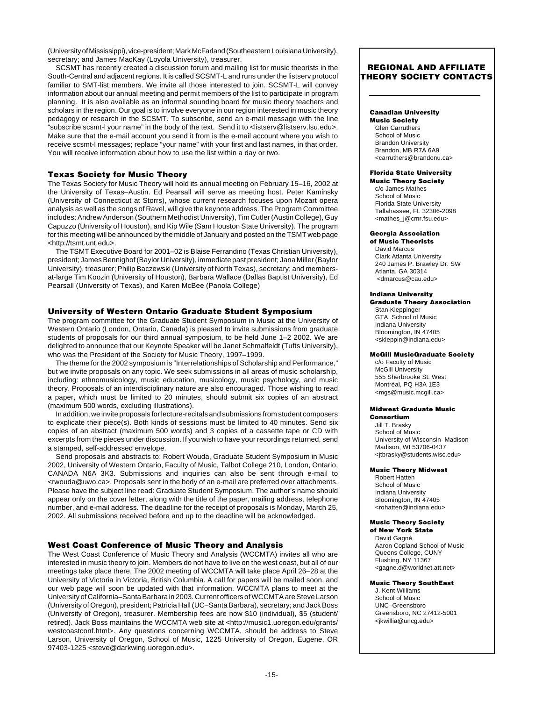(University of Mississippi), vice-president; Mark McFarland (Southeastern Louisiana University), secretary; and James MacKay (Loyola University), treasurer.

SCSMT has recently created a discussion forum and mailing list for music theorists in the South-Central and adjacent regions. It is called SCSMT-L and runs under the listserv protocol familiar to SMT-list members. We invite all those interested to join. SCSMT-L will convey information about our annual meeting and permit members of the list to participate in program planning. It is also available as an informal sounding board for music theory teachers and scholars in the region. Our goal is to involve everyone in our region interested in music theory pedagogy or research in the SCSMT. To subscribe, send an e-mail message with the line "subscribe scsmt-l your name" in the body of the text. Send it to <listserv@listserv.lsu.edu>. Make sure that the e-mail account you send it from is the e-mail account where you wish to receive scsmt-l messages; replace "your name" with your first and last names, in that order. You will receive information about how to use the list within a day or two.

## **Texas Society for Music Theory**

The Texas Society for Music Theory will hold its annual meeting on February 15–16, 2002 at the University of Texas–Austin. Ed Pearsall will serve as meeting host. Peter Kaminsky (University of Connecticut at Storrs), whose current research focuses upon Mozart opera analysis as well as the songs of Ravel, will give the keynote address. The Program Committee includes: Andrew Anderson (Southern Methodist University), Tim Cutler (Austin College), Guy Capuzzo (University of Houston), and Kip Wile (Sam Houston State University). The program for this meeting will be announced by the middle of January and posted on the TSMT web page <http://tsmt.unt.edu>.

The TSMT Executive Board for 2001–02 is Blaise Ferrandino (Texas Christian University), president; James Bennighof (Baylor University), immediate past president; Jana Miller (Baylor University), treasurer; Philip Baczewski (University of North Texas), secretary; and membersat-large Tim Koozin (University of Houston), Barbara Wallace (Dallas Baptist University), Ed Pearsall (University of Texas), and Karen McBee (Panola College)

# **University of Western Ontario Graduate Student Symposium**

The program committee for the Graduate Student Symposium in Music at the University of Western Ontario (London, Ontario, Canada) is pleased to invite submissions from graduate students of proposals for our third annual symposium, to be held June 1–2 2002. We are delighted to announce that our Keynote Speaker will be Janet Schmalfeldt (Tufts University), who was the President of the Society for Music Theory, 1997–1999.

The theme for the 2002 symposium is "Interrelationships of Scholarship and Performance," but we invite proposals on any topic. We seek submissions in all areas of music scholarship, including: ethnomusicology, music education, musicology, music psychology, and music theory. Proposals of an interdisciplinary nature are also encouraged. Those wishing to read a paper, which must be limited to 20 minutes, should submit six copies of an abstract (maximum 500 words, excluding illustrations).

In addition, we invite proposals for lecture-recitals and submissions from student composers to explicate their piece(s). Both kinds of sessions must be limited to 40 minutes. Send six copies of an abstract (maximum 500 words) and 3 copies of a cassette tape or CD with excerpts from the pieces under discussion. If you wish to have your recordings returned, send a stamped, self-addressed envelope.

Send proposals and abstracts to: Robert Wouda, Graduate Student Symposium in Music 2002, University of Western Ontario, Faculty of Music, Talbot College 210, London, Ontario, CANADA N6A 3K3. Submissions and inquiries can also be sent through e-mail to <rwouda@uwo.ca>. Proposals sent in the body of an e-mail are preferred over attachments. Please have the subject line read: Graduate Student Symposium. The author's name should appear only on the cover letter, along with the title of the paper, mailing address, telephone number, and e-mail address. The deadline for the receipt of proposals is Monday, March 25, 2002. All submissions received before and up to the deadline will be acknowledged.

## **West Coast Conference of Music Theory and Analysis**

The West Coast Conference of Music Theory and Analysis (WCCMTA) invites all who are interested in music theory to join. Members do not have to live on the west coast, but all of our meetings take place there. The 2002 meeting of WCCMTA will take place April 26–28 at the University of Victoria in Victoria, British Columbia. A call for papers will be mailed soon, and our web page will soon be updated with that information. WCCMTA plans to meet at the University of California–Santa Barbara in 2003. Current officers of WCCMTA are Steve Larson (University of Oregon), president; Patricia Hall (UC–Santa Barbara), secretary; and Jack Boss (University of Oregon), treasurer. Membership fees are now \$10 (individual), \$5 (student/ retired). Jack Boss maintains the WCCMTA web site at <http://music1.uoregon.edu/grants/ westcoastconf.html>. Any questions concerning WCCMTA, should be address to Steve Larson, University of Oregon, School of Music, 1225 University of Oregon, Eugene, OR 97403-1225 <steve@darkwing.uoregon.edu>.

# **REGIONAL AND AFFILIATE THEORY SOCIETY CONTACTS**

## **Canadian University**

**Music Society** Glen Carruthers School of Music Brandon University Brandon, MB R7A 6A9 <carruthers@brandonu.ca>

## **Florida State University**

**Music Theory Society** c/o James Mathes School of Music Florida State University Tallahassee, FL 32306-2098 <mathes\_j@cmr.fsu.edu>

#### **Georgia Association of Music Theorists**

David Marcus Clark Atlanta University 240 James P. Brawley Dr. SW Atlanta, GA 30314 <dmarcus@cau.edu>

#### **Indiana University Graduate Theory Association**

Stan Kleppinger GTA, School of Music Indiana University Bloomington, IN 47405 <skleppin@indiana.edu>

#### **McGill MusicGraduate Society**

c/o Faculty of Music McGill University 555 Sherbrooke St. West Montréal, PQ H3A 1E3 <mgs@music.mcgill.ca>

## **Midwest Graduate Music**

**Consortium** Jill T. Brasky School of Music University of Wisconsin–Madison Madison, WI 53706-0437 <jtbrasky@students.wisc.edu>

#### **Music Theory Midwest**

Robert Hatten School of Music Indiana University Bloomington, IN 47405 <rohatten@indiana.edu>

#### **Music Theory Society**

**of New York State** David Gagné Aaron Copland School of Music Queens College, CUNY Flushing, NY 11367 <gagne.d@worldnet.att.net>

#### **Music Theory SouthEast**

J. Kent Williams School of Music UNC–Greensboro Greensboro, NC 27412-5001 <jkwillia@uncg.edu>